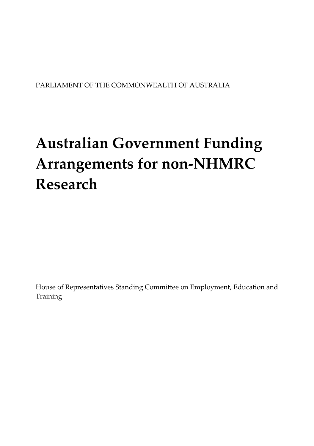#### PARLIAMENT OF THE COMMONWEALTH OF AUSTRALIA

# **Australian Government Funding Arrangements for non-NHMRC Research**

House of Representatives Standing Committee on Employment, Education and Training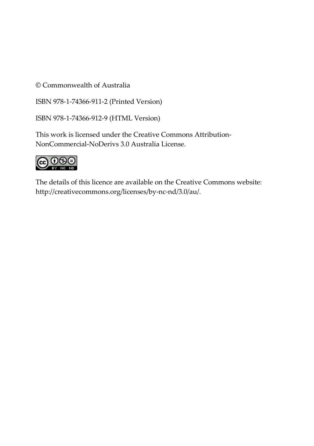© Commonwealth of Australia

ISBN 978-1-74366-911-2 (Printed Version)

ISBN 978-1-74366-912-9 (HTML Version)

This work is licensed under the Creative Commons Attribution-NonCommercial-NoDerivs 3.0 Australia License.



The details of this licence are available on the Creative Commons website: [http://creativecommons.org/licenses/by-nc-nd/3.0/au/.](http://creativecommons.org/licenses/by-nc-nd/3.0/au/)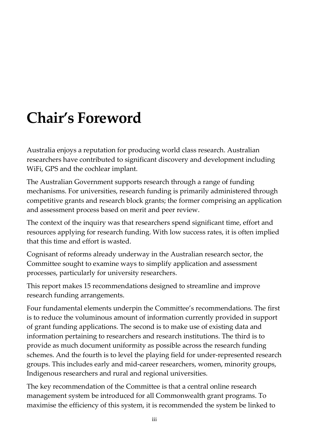# <span id="page-2-0"></span>**Chair's Foreword**

Australia enjoys a reputation for producing world class research. Australian researchers have contributed to significant discovery and development including WiFi, GPS and the cochlear implant.

The Australian Government supports research through a range of funding mechanisms. For universities, research funding is primarily administered through competitive grants and research block grants; the former comprising an application and assessment process based on merit and peer review.

The context of the inquiry was that researchers spend significant time, effort and resources applying for research funding. With low success rates, it is often implied that this time and effort is wasted.

Cognisant of reforms already underway in the Australian research sector, the Committee sought to examine ways to simplify application and assessment processes, particularly for university researchers.

This report makes 15 recommendations designed to streamline and improve research funding arrangements.

Four fundamental elements underpin the Committee's recommendations. The first is to reduce the voluminous amount of information currently provided in support of grant funding applications. The second is to make use of existing data and information pertaining to researchers and research institutions. The third is to provide as much document uniformity as possible across the research funding schemes. And the fourth is to level the playing field for under-represented research groups. This includes early and mid-career researchers, women, minority groups, Indigenous researchers and rural and regional universities.

The key recommendation of the Committee is that a central online research management system be introduced for all Commonwealth grant programs. To maximise the efficiency of this system, it is recommended the system be linked to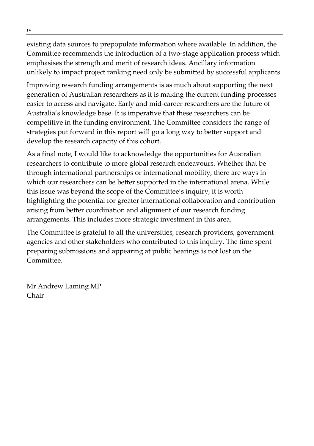existing data sources to prepopulate information where available. In addition, the Committee recommends the introduction of a two-stage application process which emphasises the strength and merit of research ideas. Ancillary information unlikely to impact project ranking need only be submitted by successful applicants.

Improving research funding arrangements is as much about supporting the next generation of Australian researchers as it is making the current funding processes easier to access and navigate. Early and mid-career researchers are the future of Australia's knowledge base. It is imperative that these researchers can be competitive in the funding environment. The Committee considers the range of strategies put forward in this report will go a long way to better support and develop the research capacity of this cohort.

As a final note, I would like to acknowledge the opportunities for Australian researchers to contribute to more global research endeavours. Whether that be through international partnerships or international mobility, there are ways in which our researchers can be better supported in the international arena. While this issue was beyond the scope of the Committee's inquiry, it is worth highlighting the potential for greater international collaboration and contribution arising from better coordination and alignment of our research funding arrangements. This includes more strategic investment in this area.

The Committee is grateful to all the universities, research providers, government agencies and other stakeholders who contributed to this inquiry. The time spent preparing submissions and appearing at public hearings is not lost on the Committee.

Mr Andrew Laming MP Chair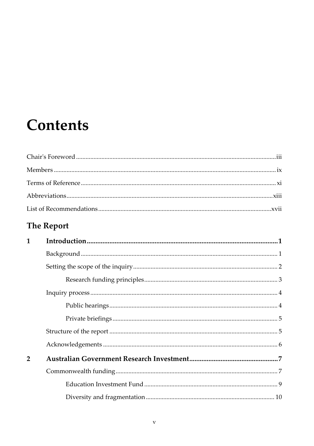# **Contents**

## The Report

| 1              |  |
|----------------|--|
|                |  |
|                |  |
|                |  |
|                |  |
|                |  |
|                |  |
|                |  |
|                |  |
| $\overline{2}$ |  |
|                |  |
|                |  |
|                |  |
|                |  |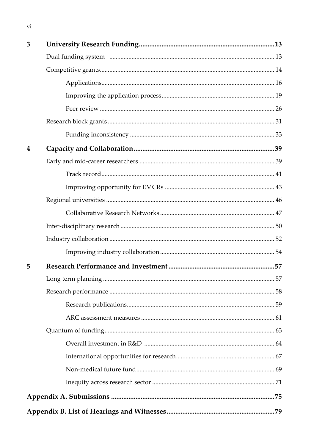| 3                       |  |
|-------------------------|--|
|                         |  |
|                         |  |
|                         |  |
|                         |  |
|                         |  |
|                         |  |
|                         |  |
| $\overline{\mathbf{4}}$ |  |
|                         |  |
|                         |  |
|                         |  |
|                         |  |
|                         |  |
|                         |  |
|                         |  |
|                         |  |
| 5                       |  |
|                         |  |
|                         |  |
|                         |  |
|                         |  |
|                         |  |
|                         |  |
|                         |  |
|                         |  |
|                         |  |
|                         |  |
|                         |  |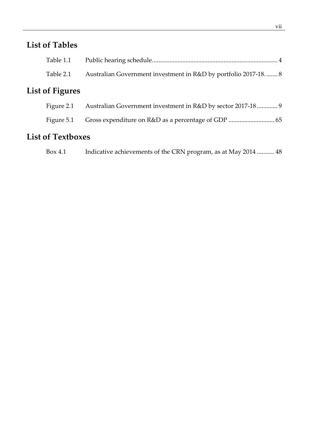## **List of Tables**

| Table 1.1                |                                                                |  |
|--------------------------|----------------------------------------------------------------|--|
| Table 2.1                | Australian Government investment in R&D by portfolio 2017-18 8 |  |
| List of Figures          |                                                                |  |
| Figure 2.1               | Australian Government investment in R&D by sector 2017-18  9   |  |
| Figure 5.1               |                                                                |  |
| <b>List of Textboxes</b> |                                                                |  |

### Box 4.1 [Indicative achievements of the CRN program, as at May 2014](#page-69-0) ........... [48](#page-69-0)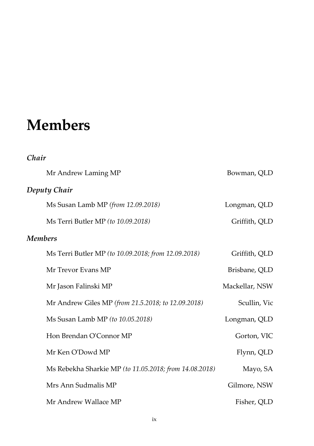# <span id="page-8-0"></span>**Members**

### *Chair*

| Mr Andrew Laming MP                                    | Bowman, QLD    |
|--------------------------------------------------------|----------------|
| Deputy Chair                                           |                |
| Ms Susan Lamb MP (from 12.09.2018)                     | Longman, QLD   |
| Ms Terri Butler MP (to 10.09.2018)                     | Griffith, QLD  |
| Members                                                |                |
| Ms Terri Butler MP (to 10.09.2018; from 12.09.2018)    | Griffith, QLD  |
| Mr Trevor Evans MP                                     | Brisbane, QLD  |
| Mr Jason Falinski MP                                   | Mackellar, NSW |
| Mr Andrew Giles MP (from 21.5.2018; to 12.09.2018)     | Scullin, Vic   |
| Ms Susan Lamb MP (to 10.05.2018)                       | Longman, QLD   |
| Hon Brendan O'Connor MP                                | Gorton, VIC    |
| Mr Ken O'Dowd MP                                       | Flynn, QLD     |
| Ms Rebekha Sharkie MP (to 11.05.2018; from 14.08.2018) | Mayo, SA       |
| Mrs Ann Sudmalis MP                                    | Gilmore, NSW   |
| Mr Andrew Wallace MP                                   | Fisher, QLD    |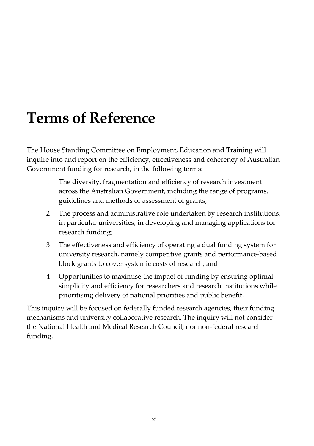# <span id="page-10-0"></span>**Terms of Reference**

The House Standing Committee on Employment, Education and Training will inquire into and report on the efficiency, effectiveness and coherency of Australian Government funding for research, in the following terms:

- 1 The diversity, fragmentation and efficiency of research investment across the Australian Government, including the range of programs, guidelines and methods of assessment of grants;
- 2 The process and administrative role undertaken by research institutions, in particular universities, in developing and managing applications for research funding;
- 3 The effectiveness and efficiency of operating a dual funding system for university research, namely competitive grants and performance-based block grants to cover systemic costs of research; and
- 4 Opportunities to maximise the impact of funding by ensuring optimal simplicity and efficiency for researchers and research institutions while prioritising delivery of national priorities and public benefit.

This inquiry will be focused on federally funded research agencies, their funding mechanisms and university collaborative research. The inquiry will not consider the National Health and Medical Research Council, nor non-federal research funding.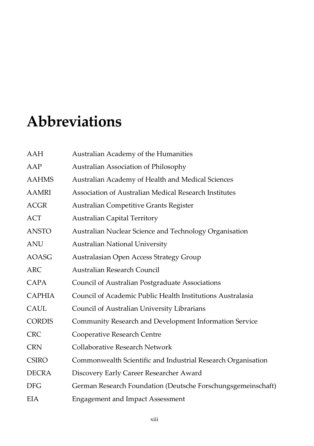# <span id="page-12-0"></span>**Abbreviations**

| Australian Academy of the Humanities                         |
|--------------------------------------------------------------|
| Australian Association of Philosophy                         |
| Australian Academy of Health and Medical Sciences            |
| Association of Australian Medical Research Institutes        |
| <b>Australian Competitive Grants Register</b>                |
| <b>Australian Capital Territory</b>                          |
| Australian Nuclear Science and Technology Organisation       |
| <b>Australian National University</b>                        |
| Australasian Open Access Strategy Group                      |
| Australian Research Council                                  |
| Council of Australian Postgraduate Associations              |
| Council of Academic Public Health Institutions Australasia   |
| Council of Australian University Librarians                  |
| Community Research and Development Information Service       |
| Cooperative Research Centre                                  |
| <b>Collaborative Research Network</b>                        |
| Commonwealth Scientific and Industrial Research Organisation |
| Discovery Early Career Researcher Award                      |
| German Research Foundation (Deutsche Forschungsgemeinschaft) |
| <b>Engagement and Impact Assessment</b>                      |
|                                                              |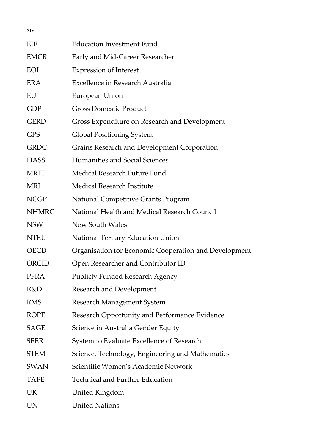| EIF          | <b>Education Investment Fund</b>                      |
|--------------|-------------------------------------------------------|
| <b>EMCR</b>  | Early and Mid-Career Researcher                       |
| EOI          | <b>Expression of Interest</b>                         |
| <b>ERA</b>   | Excellence in Research Australia                      |
| EU           | European Union                                        |
| <b>GDP</b>   | <b>Gross Domestic Product</b>                         |
| <b>GERD</b>  | Gross Expenditure on Research and Development         |
| <b>GPS</b>   | Global Positioning System                             |
| <b>GRDC</b>  | Grains Research and Development Corporation           |
| <b>HASS</b>  | Humanities and Social Sciences                        |
| <b>MRFF</b>  | Medical Research Future Fund                          |
| <b>MRI</b>   | Medical Research Institute                            |
| <b>NCGP</b>  | National Competitive Grants Program                   |
| <b>NHMRC</b> | National Health and Medical Research Council          |
| <b>NSW</b>   | New South Wales                                       |
| <b>NTEU</b>  | National Tertiary Education Union                     |
| <b>OECD</b>  | Organisation for Economic Cooperation and Development |
| ORCID        | Open Researcher and Contributor ID                    |
| <b>PFRA</b>  | <b>Publicly Funded Research Agency</b>                |
| R&D          | Research and Development                              |
| <b>RMS</b>   | Research Management System                            |
| <b>ROPE</b>  | Research Opportunity and Performance Evidence         |
| <b>SAGE</b>  | Science in Australia Gender Equity                    |
| <b>SEER</b>  | System to Evaluate Excellence of Research             |
| <b>STEM</b>  | Science, Technology, Engineering and Mathematics      |
| <b>SWAN</b>  | Scientific Women's Academic Network                   |
| <b>TAFE</b>  | Technical and Further Education                       |
| UK           | United Kingdom                                        |
| <b>UN</b>    | <b>United Nations</b>                                 |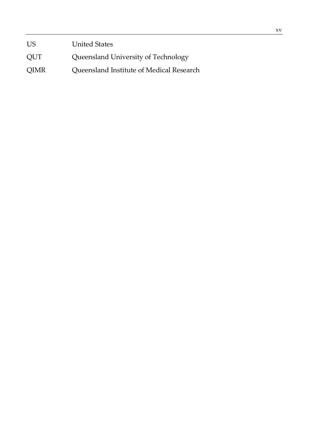US United States

QUT Queensland University of Technology

QIMR Queensland Institute of Medical Research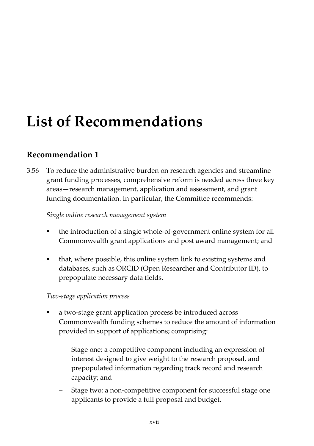# <span id="page-16-0"></span>**List of Recommendations**

### **Recommendation 1**

3.56 To reduce the administrative burden on research agencies and streamline grant funding processes, comprehensive reform is needed across three key areas—research management, application and assessment, and grant funding documentation. In particular, the Committee recommends:

#### *Single online research management system*

- the introduction of a single whole-of-government online system for all Commonwealth grant applications and post award management; and
- that, where possible, this online system link to existing systems and databases, such as ORCID (Open Researcher and Contributor ID), to prepopulate necessary data fields.

#### *Two-stage application process*

- a two-stage grant application process be introduced across Commonwealth funding schemes to reduce the amount of information provided in support of applications; comprising:
	- Stage one: a competitive component including an expression of interest designed to give weight to the research proposal, and prepopulated information regarding track record and research capacity; and
	- Stage two: a non-competitive component for successful stage one applicants to provide a full proposal and budget.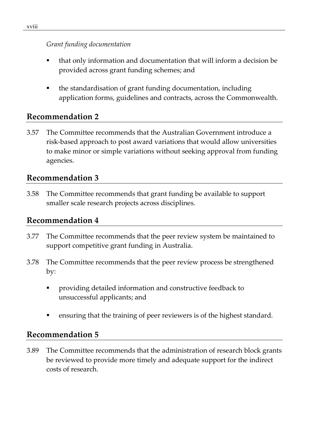#### *Grant funding documentation*

- that only information and documentation that will inform a decision be provided across grant funding schemes; and
- the standardisation of grant funding documentation, including application forms, guidelines and contracts, across the Commonwealth.

### **Recommendation 2**

3.57 The Committee recommends that the Australian Government introduce a risk-based approach to post award variations that would allow universities to make minor or simple variations without seeking approval from funding agencies.

#### **Recommendation 3**

3.58 The Committee recommends that grant funding be available to support smaller scale research projects across disciplines.

#### **Recommendation 4**

- 3.77 The Committee recommends that the peer review system be maintained to support competitive grant funding in Australia.
- 3.78 The Committee recommends that the peer review process be strengthened by:
	- providing detailed information and constructive feedback to unsuccessful applicants; and
	- ensuring that the training of peer reviewers is of the highest standard.

#### **Recommendation 5**

3.89 The Committee recommends that the administration of research block grants be reviewed to provide more timely and adequate support for the indirect costs of research.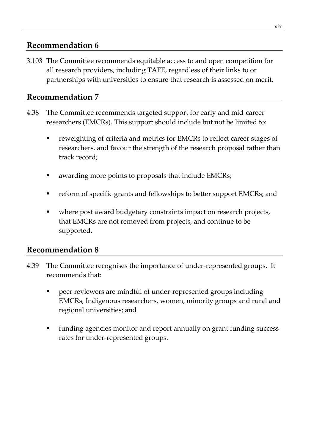### **Recommendation 6**

3.103 The Committee recommends equitable access to and open competition for all research providers, including TAFE, regardless of their links to or partnerships with universities to ensure that research is assessed on merit.

## **Recommendation 7**

- 4.38 The Committee recommends targeted support for early and mid-career researchers (EMCRs). This support should include but not be limited to:
	- reweighting of criteria and metrics for EMCRs to reflect career stages of researchers, and favour the strength of the research proposal rather than track record;
	- awarding more points to proposals that include EMCRs;
	- reform of specific grants and fellowships to better support EMCRs; and
	- where post award budgetary constraints impact on research projects, that EMCRs are not removed from projects, and continue to be supported.

#### **Recommendation 8**

- 4.39 The Committee recognises the importance of under-represented groups. It recommends that:
	- peer reviewers are mindful of under-represented groups including EMCRs, Indigenous researchers, women, minority groups and rural and regional universities; and
	- funding agencies monitor and report annually on grant funding success rates for under-represented groups.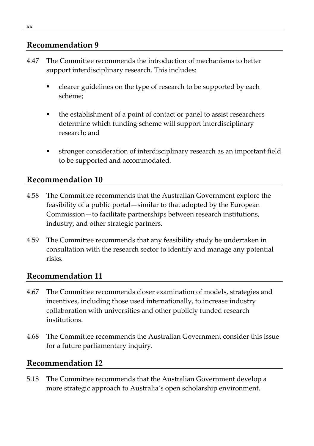#### **Recommendation 9**

- 4.47 The Committee recommends the introduction of mechanisms to better support interdisciplinary research. This includes:
	- **•** clearer guidelines on the type of research to be supported by each scheme;
	- the establishment of a point of contact or panel to assist researchers determine which funding scheme will support interdisciplinary research; and
	- stronger consideration of interdisciplinary research as an important field to be supported and accommodated.

#### **Recommendation 10**

- 4.58 The Committee recommends that the Australian Government explore the feasibility of a public portal—similar to that adopted by the European Commission—to facilitate partnerships between research institutions, industry, and other strategic partners.
- 4.59 The Committee recommends that any feasibility study be undertaken in consultation with the research sector to identify and manage any potential risks.

#### **Recommendation 11**

- 4.67 The Committee recommends closer examination of models, strategies and incentives, including those used internationally, to increase industry collaboration with universities and other publicly funded research institutions.
- 4.68 The Committee recommends the Australian Government consider this issue for a future parliamentary inquiry.

#### **Recommendation 12**

5.18 The Committee recommends that the Australian Government develop a more strategic approach to Australia's open scholarship environment.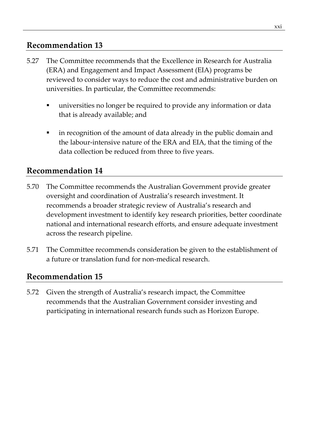### **Recommendation 13**

- 5.27 The Committee recommends that the Excellence in Research for Australia (ERA) and Engagement and Impact Assessment (EIA) programs be reviewed to consider ways to reduce the cost and administrative burden on universities. In particular, the Committee recommends:
	- universities no longer be required to provide any information or data that is already available; and
	- in recognition of the amount of data already in the public domain and the labour-intensive nature of the ERA and EIA, that the timing of the data collection be reduced from three to five years.

### **Recommendation 14**

- 5.70 The Committee recommends the Australian Government provide greater oversight and coordination of Australia's research investment. It recommends a broader strategic review of Australia's research and development investment to identify key research priorities, better coordinate national and international research efforts, and ensure adequate investment across the research pipeline.
- 5.71 The Committee recommends consideration be given to the establishment of a future or translation fund for non-medical research.

#### **Recommendation 15**

5.72 Given the strength of Australia's research impact, the Committee recommends that the Australian Government consider investing and participating in international research funds such as Horizon Europe.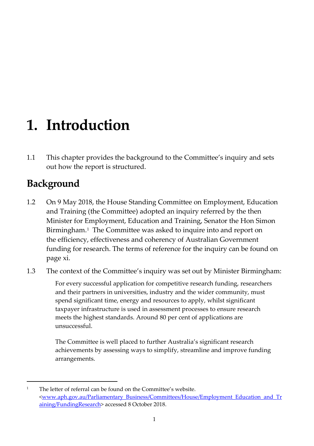# <span id="page-22-0"></span>**1. Introduction**

1.1 This chapter provides the background to the Committee's inquiry and sets out how the report is structured.

## <span id="page-22-1"></span>**Background**

- 1.2 On 9 May 2018, the House Standing Committee on Employment, Education and Training (the Committee) adopted an inquiry referred by the then Minister for Employment, Education and Training, Senator the Hon Simon Birmingham.<sup>[1](#page-22-2)</sup> The Committee was asked to inquire into and report on the efficiency, effectiveness and coherency of Australian Government funding for research. The terms of reference for the inquiry can be found on page xi.
- 1.3 The context of the Committee's inquiry was set out by Minister Birmingham:

For every successful application for competitive research funding, researchers and their partners in universities, industry and the wider community, must spend significant time, energy and resources to apply, whilst significant taxpayer infrastructure is used in assessment processes to ensure research meets the highest standards. Around 80 per cent of applications are unsuccessful.

The Committee is well placed to further Australia's significant research achievements by assessing ways to simplify, streamline and improve funding arrangements.

<span id="page-22-2"></span>The letter of referral can be found on the Committee's website. [<www.aph.gov.au/Parliamentary\\_Business/Committees/House/Employment\\_Education\\_and\\_Tr](http://www.aph.gov.au/Parliamentary_Business/Committees/House/Employment_Education_and_Training/FundingResearch) [aining/FundingResearch>](http://www.aph.gov.au/Parliamentary_Business/Committees/House/Employment_Education_and_Training/FundingResearch) accessed 8 October 2018.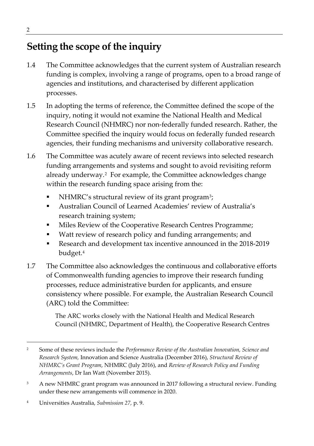# <span id="page-23-0"></span>**Setting the scope of the inquiry**

- 1.4 The Committee acknowledges that the current system of Australian research funding is complex, involving a range of programs, open to a broad range of agencies and institutions, and characterised by different application processes.
- 1.5 In adopting the terms of reference, the Committee defined the scope of the inquiry, noting it would not examine the National Health and Medical Research Council (NHMRC) nor non-federally funded research. Rather, the Committee specified the inquiry would focus on federally funded research agencies, their funding mechanisms and university collaborative research.
- 1.6 The Committee was acutely aware of recent reviews into selected research funding arrangements and systems and sought to avoid revisiting reform already underway.[2](#page-23-1) For example, the Committee acknowledges change within the research funding space arising from the:
	- NHMRC's structural review of its grant program<sup>3</sup>;
	- Australian Council of Learned Academies' review of Australia's research training system;
	- Miles Review of the Cooperative Research Centres Programme;
	- Watt review of research policy and funding arrangements; and
	- Research and development tax incentive announced in the 2018-2019 budget.[4](#page-23-3)
- 1.7 The Committee also acknowledges the continuous and collaborative efforts of Commonwealth funding agencies to improve their research funding processes, reduce administrative burden for applicants, and ensure consistency where possible. For example, the Australian Research Council (ARC) told the Committee:

The ARC works closely with the National Health and Medical Research Council (NHMRC, Department of Health), the Cooperative Research Centres

<span id="page-23-1"></span> <sup>2</sup> Some of these reviews include the *Performance Review of the Australian Innovation, Science and Research System,* Innovation and Science Australia (December 2016), *Structural Review of NHMRC's Grant Program*, NHMRC (July 2016), and *Review of Research Policy and Funding Arrangements*, Dr Ian Watt (November 2015).

<span id="page-23-2"></span><sup>&</sup>lt;sup>3</sup> A new NHMRC grant program was announced in 2017 following a structural review. Funding under these new arrangements will commence in 2020.

<span id="page-23-3"></span><sup>4</sup> Universities Australia, *Submission 27,* p. 9.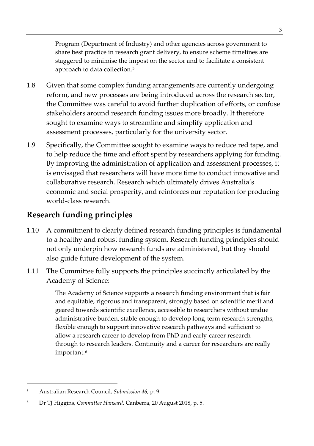Program (Department of Industry) and other agencies across government to share best practice in research grant delivery, to ensure scheme timelines are staggered to minimise the impost on the sector and to facilitate a consistent approach to data collection[.5](#page-24-1)

- 1.8 Given that some complex funding arrangements are currently undergoing reform, and new processes are being introduced across the research sector, the Committee was careful to avoid further duplication of efforts, or confuse stakeholders around research funding issues more broadly. It therefore sought to examine ways to streamline and simplify application and assessment processes, particularly for the university sector.
- 1.9 Specifically, the Committee sought to examine ways to reduce red tape, and to help reduce the time and effort spent by researchers applying for funding. By improving the administration of application and assessment processes, it is envisaged that researchers will have more time to conduct innovative and collaborative research. Research which ultimately drives Australia's economic and social prosperity, and reinforces our reputation for producing world-class research.

## <span id="page-24-0"></span>**Research funding principles**

- 1.10 A commitment to clearly defined research funding principles is fundamental to a healthy and robust funding system. Research funding principles should not only underpin how research funds are administered, but they should also guide future development of the system.
- 1.11 The Committee fully supports the principles succinctly articulated by the Academy of Science:

The Academy of Science supports a research funding environment that is fair and equitable, rigorous and transparent, strongly based on scientific merit and geared towards scientific excellence, accessible to researchers without undue administrative burden, stable enough to develop long-term research strengths, flexible enough to support innovative research pathways and sufficient to allow a research career to develop from PhD and early-career research through to research leaders. Continuity and a career for researchers are really important.<sup>[6](#page-24-2)</sup>

<span id="page-24-1"></span> <sup>5</sup> Australian Research Council, *Submission 46,* p. 9.

<span id="page-24-2"></span><sup>6</sup> Dr TJ Higgins, *Committee Hansard,* Canberra, 20 August 2018, p. 5.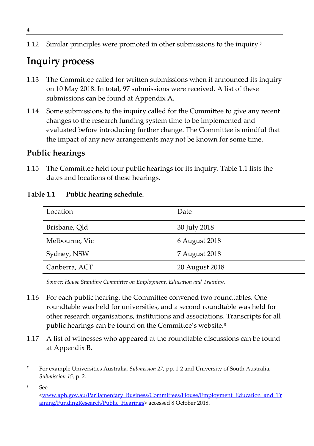1.12 Similar principles were promoted in other submissions to the inquiry[.7](#page-25-3)

# <span id="page-25-0"></span>**Inquiry process**

- 1.13 The Committee called for written submissions when it announced its inquiry on 10 May 2018. In total, 97 submissions were received. A list of these submissions can be found at Appendix A.
- 1.14 Some submissions to the inquiry called for the Committee to give any recent changes to the research funding system time to be implemented and evaluated before introducing further change. The Committee is mindful that the impact of any new arrangements may not be known for some time.

## <span id="page-25-1"></span>**Public hearings**

1.15 The Committee held four public hearings for its inquiry. Table 1.1 lists the dates and locations of these hearings.

#### **Table 1.1 Public hearing schedule.**

<span id="page-25-2"></span>

| Location       | Date           |
|----------------|----------------|
| Brisbane, Qld  | 30 July 2018   |
| Melbourne, Vic | 6 August 2018  |
| Sydney, NSW    | 7 August 2018  |
| Canberra, ACT  | 20 August 2018 |

*Source: House Standing Committee on Employment, Education and Training.*

- 1.16 For each public hearing, the Committee convened two roundtables. One roundtable was held for universities, and a second roundtable was held for other research organisations, institutions and associations. Transcripts for all public hearings can be found on the Committee's website.<sup>[8](#page-25-4)</sup>
- 1.17 A list of witnesses who appeared at the roundtable discussions can be found at Appendix B.

<span id="page-25-3"></span> <sup>7</sup> For example Universities Australia, *Submission 27,* pp. 1-2 and University of South Australia, *Submission 15,* p. 2.

<span id="page-25-4"></span><sup>8</sup> See

[<sup>&</sup>lt;www.aph.gov.au/Parliamentary\\_Business/Committees/House/Employment\\_Education\\_and\\_Tr](http://www.aph.gov.au/Parliamentary_Business/Committees/House/Employment_Education_and_Training/FundingResearch/Public_Hearings) [aining/FundingResearch/Public\\_Hearings>](http://www.aph.gov.au/Parliamentary_Business/Committees/House/Employment_Education_and_Training/FundingResearch/Public_Hearings) accessed 8 October 2018.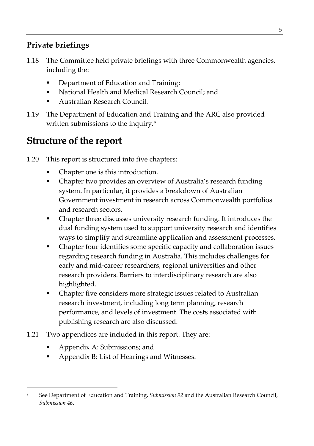## <span id="page-26-0"></span>**Private briefings**

- 1.18 The Committee held private briefings with three Commonwealth agencies, including the:
	- Department of Education and Training;
	- National Health and Medical Research Council; and
	- Australian Research Council.
- 1.19 The Department of Education and Training and the ARC also provided written submissions to the inquiry.<sup>[9](#page-26-2)</sup>

## <span id="page-26-1"></span>**Structure of the report**

- 1.20 This report is structured into five chapters:
	- Chapter one is this introduction.
	- Chapter two provides an overview of Australia's research funding system. In particular, it provides a breakdown of Australian Government investment in research across Commonwealth portfolios and research sectors.
	- Chapter three discusses university research funding. It introduces the dual funding system used to support university research and identifies ways to simplify and streamline application and assessment processes.
	- Chapter four identifies some specific capacity and collaboration issues regarding research funding in Australia. This includes challenges for early and mid-career researchers, regional universities and other research providers. Barriers to interdisciplinary research are also highlighted.
	- Chapter five considers more strategic issues related to Australian research investment, including long term planning, research performance, and levels of investment. The costs associated with publishing research are also discussed.
- 1.21 Two appendices are included in this report. They are:
	- Appendix A: Submissions; and
	- Appendix B: List of Hearings and Witnesses.

<span id="page-26-2"></span> <sup>9</sup> See Department of Education and Training, *Submission 92* and the Australian Research Council, *Submission 46*.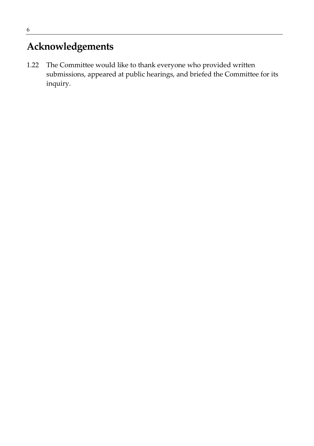# <span id="page-27-0"></span>**Acknowledgements**

1.22 The Committee would like to thank everyone who provided written submissions, appeared at public hearings, and briefed the Committee for its inquiry.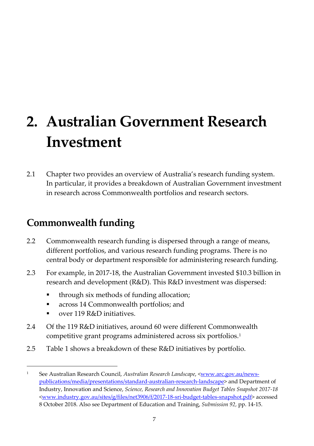# <span id="page-28-0"></span>**2. Australian Government Research Investment**

2.1 Chapter two provides an overview of Australia's research funding system. In particular, it provides a breakdown of Australian Government investment in research across Commonwealth portfolios and research sectors.

## <span id="page-28-1"></span>**Commonwealth funding**

- 2.2 Commonwealth research funding is dispersed through a range of means, different portfolios, and various research funding programs. There is no central body or department responsible for administering research funding.
- 2.3 For example, in 2017-18, the Australian Government invested \$10.3 billion in research and development (R&D). This R&D investment was dispersed:
	- through six methods of funding allocation;
	- across 14 Commonwealth portfolios; and
	- over 119 R&D initiatives.
- 2.4 Of the 119 R&D initiatives, around 60 were different Commonwealth competitive grant programs administered across six portfolios.[1](#page-28-2)
- 2.5 Table 1 shows a breakdown of these R&D initiatives by portfolio.

<span id="page-28-2"></span> <sup>1</sup> See Australian Research Council, *Australian Research Landscape*, [<www.arc.gov.au/news](http://www.arc.gov.au/news-publications/media/presentations/standard-australian-research-landscape)[publications/media/presentations/standard-australian-research-landscape>](http://www.arc.gov.au/news-publications/media/presentations/standard-australian-research-landscape) and Department of Industry, Innovation and Science, *Science, Research and Innovation Budget Tables Snapshot 2017-18*  [<www.industry.gov.au/sites/g/files/net3906/f/2017-18-sri-budget-tables-snapshot.pdf>](http://www.industry.gov.au/sites/g/files/net3906/f/2017-18-sri-budget-tables-snapshot.pdf) accessed 8 October 2018. Also see Department of Education and Training, *Submission 92,* pp. 14-15.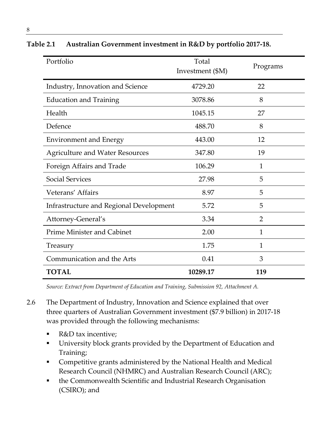<span id="page-29-0"></span>

| Portfolio                               | Total<br>Investment (\$M) | Programs       |
|-----------------------------------------|---------------------------|----------------|
| Industry, Innovation and Science        | 4729.20                   | 22             |
| <b>Education and Training</b>           | 3078.86                   | 8              |
| Health                                  | 1045.15                   | 27             |
| Defence                                 | 488.70                    | 8              |
| <b>Environment and Energy</b>           | 443.00                    | 12             |
| <b>Agriculture and Water Resources</b>  | 347.80                    | 19             |
| Foreign Affairs and Trade               | 106.29                    | 1              |
| Social Services                         | 27.98                     | 5              |
| Veterans' Affairs                       | 8.97                      | 5              |
| Infrastructure and Regional Development | 5.72                      | 5              |
| Attorney-General's                      | 3.34                      | $\overline{2}$ |
| <b>Prime Minister and Cabinet</b>       | 2.00                      | 1              |
| Treasury                                | 1.75                      | 1              |
| Communication and the Arts              | 0.41                      | 3              |
| <b>TOTAL</b>                            | 10289.17                  | 119            |

#### **Table 2.1 Australian Government investment in R&D by portfolio 2017-18.**

*Source: Extract from Department of Education and Training, Submission 92, Attachment A.*

- 2.6 The Department of Industry, Innovation and Science explained that over three quarters of Australian Government investment (\$7.9 billion) in 2017-18 was provided through the following mechanisms:
	- R&D tax incentive;
	- University block grants provided by the Department of Education and Training;
	- Competitive grants administered by the National Health and Medical Research Council (NHMRC) and Australian Research Council (ARC);
	- the Commonwealth Scientific and Industrial Research Organisation (CSIRO); and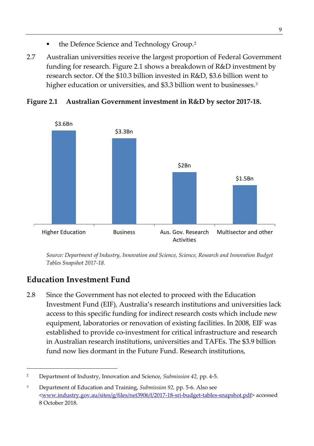- the Defence Science and Technology Group.[2](#page-30-2)
- 2.7 Australian universities receive the largest proportion of Federal Government funding for research. Figure 2.1 shows a breakdown of R&D investment by research sector. Of the \$10.3 billion invested in R&D, \$3.6 billion went to higher education or universities, and \$[3](#page-30-3).3 billion went to businesses.<sup>3</sup>



<span id="page-30-1"></span>

<span id="page-30-0"></span>*Source: Department of Industry, Innovation and Science, Science, Research and Innovation Budget Tables Snapshot 2017-18.* 

## **Education Investment Fund**

2.8 Since the Government has not elected to proceed with the Education Investment Fund (EIF), Australia's research institutions and universities lack access to this specific funding for indirect research costs which include new equipment, laboratories or renovation of existing facilities. In 2008, EIF was established to provide co-investment for critical infrastructure and research in Australian research institutions, universities and TAFEs. The \$3.9 billion fund now lies dormant in the Future Fund. Research institutions,

<span id="page-30-2"></span> <sup>2</sup> Department of Industry, Innovation and Science, *Submission 42,* pp. 4-5.

<span id="page-30-3"></span><sup>3</sup> Department of Education and Training, *Submission 92,* pp. 5-6. Also see [<www.industry.gov.au/sites/g/files/net3906/f/2017-18-sri-budget-tables-snapshot.pdf>](http://www.industry.gov.au/sites/g/files/net3906/f/2017-18-sri-budget-tables-snapshot.pdf) accessed 8 October 2018.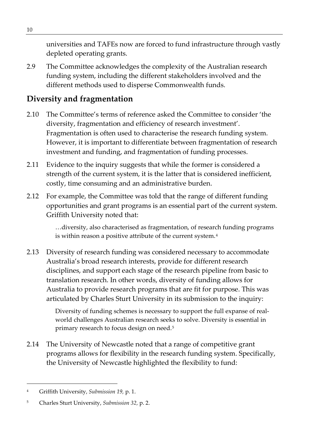<span id="page-31-0"></span>universities and TAFEs now are forced to fund infrastructure through vastly depleted operating grants.

2.9 The Committee acknowledges the complexity of the Australian research funding system, including the different stakeholders involved and the different methods used to disperse Commonwealth funds.

## **Diversity and fragmentation**

- 2.10 The Committee's terms of reference asked the Committee to consider 'the diversity, fragmentation and efficiency of research investment'. Fragmentation is often used to characterise the research funding system. However, it is important to differentiate between fragmentation of research investment and funding, and fragmentation of funding processes.
- 2.11 Evidence to the inquiry suggests that while the former is considered a strength of the current system, it is the latter that is considered inefficient, costly, time consuming and an administrative burden.
- 2.12 For example, the Committee was told that the range of different funding opportunities and grant programs is an essential part of the current system. Griffith University noted that:

…diversity, also characterised as fragmentation, of research funding programs is within reason a positive attribute of the current system.<sup>[4](#page-31-1)</sup>

2.13 Diversity of research funding was considered necessary to accommodate Australia's broad research interests, provide for different research disciplines, and support each stage of the research pipeline from basic to translation research. In other words, diversity of funding allows for Australia to provide research programs that are fit for purpose. This was articulated by Charles Sturt University in its submission to the inquiry:

> Diversity of funding schemes is necessary to support the full expanse of realworld challenges Australian research seeks to solve. Diversity is essential in primary research to focus design on need.<sup>[5](#page-31-2)</sup>

2.14 The University of Newcastle noted that a range of competitive grant programs allows for flexibility in the research funding system. Specifically, the University of Newcastle highlighted the flexibility to fund:

<span id="page-31-1"></span> <sup>4</sup> Griffith University, *Submission 19,* p. 1.

<span id="page-31-2"></span><sup>5</sup> Charles Sturt University, *Submission 32,* p. 2.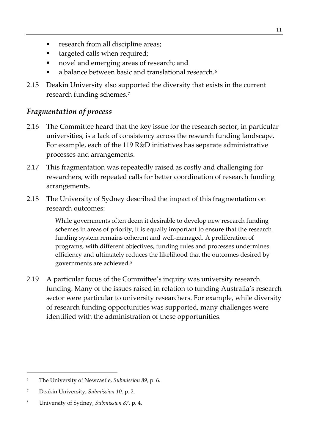- **research from all discipline areas;**
- targeted calls when required;
- novel and emerging areas of research; and
- a balance between basic and translational research.<sup>[6](#page-32-0)</sup>
- 2.15 Deakin University also supported the diversity that exists in the current research funding schemes.[7](#page-32-1)

#### *Fragmentation of process*

- 2.16 The Committee heard that the key issue for the research sector, in particular universities, is a lack of consistency across the research funding landscape. For example, each of the 119 R&D initiatives has separate administrative processes and arrangements.
- 2.17 This fragmentation was repeatedly raised as costly and challenging for researchers, with repeated calls for better coordination of research funding arrangements.
- 2.18 The University of Sydney described the impact of this fragmentation on research outcomes:

While governments often deem it desirable to develop new research funding schemes in areas of priority, it is equally important to ensure that the research funding system remains coherent and well-managed. A proliferation of programs, with different objectives, funding rules and processes undermines efficiency and ultimately reduces the likelihood that the outcomes desired by governments are achieved.[8](#page-32-2)

2.19 A particular focus of the Committee's inquiry was university research funding. Many of the issues raised in relation to funding Australia's research sector were particular to university researchers. For example, while diversity of research funding opportunities was supported, many challenges were identified with the administration of these opportunities.

<span id="page-32-0"></span> <sup>6</sup> The University of Newcastle, *Submission 89,* p. 6.

<span id="page-32-1"></span><sup>7</sup> Deakin University, *Submission 10,* p. 2.

<span id="page-32-2"></span><sup>8</sup> University of Sydney, *Submission 87,* p. 4.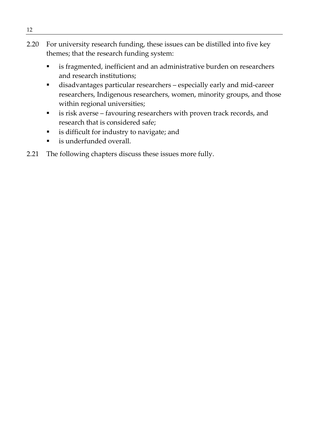- 2.20 For university research funding, these issues can be distilled into five key themes; that the research funding system:
	- **is fragmented, inefficient and an administrative burden on researchers** and research institutions;
	- disadvantages particular researchers especially early and mid-career researchers, Indigenous researchers, women, minority groups, and those within regional universities;
	- is risk averse favouring researchers with proven track records, and research that is considered safe;
	- **i** is difficult for industry to navigate; and
	- is underfunded overall.
- 2.21 The following chapters discuss these issues more fully.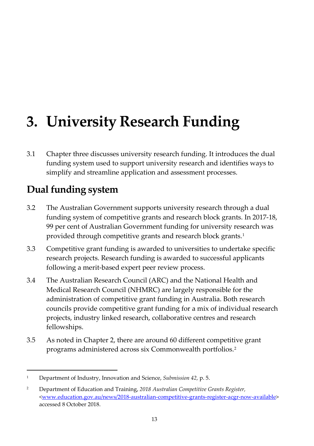# <span id="page-34-0"></span>**3. University Research Funding**

3.1 Chapter three discusses university research funding. It introduces the dual funding system used to support university research and identifies ways to simplify and streamline application and assessment processes.

# <span id="page-34-1"></span>**Dual funding system**

- 3.2 The Australian Government supports university research through a dual funding system of competitive grants and research block grants. In 2017-18, 99 per cent of Australian Government funding for university research was provided through competitive grants and research block grants.<sup>[1](#page-34-2)</sup>
- 3.3 Competitive grant funding is awarded to universities to undertake specific research projects. Research funding is awarded to successful applicants following a merit-based expert peer review process.
- 3.4 The Australian Research Council (ARC) and the National Health and Medical Research Council (NHMRC) are largely responsible for the administration of competitive grant funding in Australia. Both research councils provide competitive grant funding for a mix of individual research projects, industry linked research, collaborative centres and research fellowships.
- 3.5 As noted in Chapter 2, there are around 60 different competitive grant programs administered across six Commonwealth portfolios.[2](#page-34-3)

<span id="page-34-2"></span> <sup>1</sup> Department of Industry, Innovation and Science, *Submission 42,* p. 5.

<span id="page-34-3"></span><sup>2</sup> Department of Education and Training, *2018 Australian Competitive Grants Register,* [<www.education.gov.au/news/2018-australian-competitive-grants-register-acgr-now-available>](http://www.education.gov.au/news/2018-australian-competitive-grants-register-acgr-now-available) accessed 8 October 2018.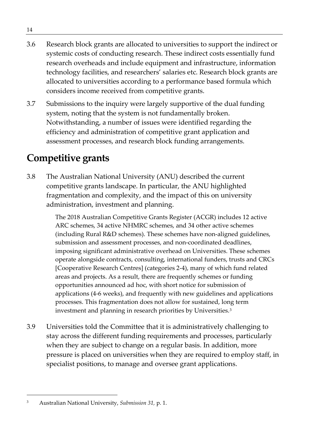- 3.6 Research block grants are allocated to universities to support the indirect or systemic costs of conducting research. These indirect costs essentially fund research overheads and include equipment and infrastructure, information technology facilities, and researchers' salaries etc. Research block grants are allocated to universities according to a performance based formula which considers income received from competitive grants.
- 3.7 Submissions to the inquiry were largely supportive of the dual funding system, noting that the system is not fundamentally broken. Notwithstanding, a number of issues were identified regarding the efficiency and administration of competitive grant application and assessment processes, and research block funding arrangements.

## <span id="page-35-0"></span>**Competitive grants**

3.8 The Australian National University (ANU) described the current competitive grants landscape. In particular, the ANU highlighted fragmentation and complexity, and the impact of this on university administration, investment and planning.

> The 2018 Australian Competitive Grants Register (ACGR) includes 12 active ARC schemes, 34 active NHMRC schemes, and 34 other active schemes (including Rural R&D schemes). These schemes have non-aligned guidelines, submission and assessment processes, and non-coordinated deadlines, imposing significant administrative overhead on Universities. These schemes operate alongside contracts, consulting, international funders, trusts and CRCs [Cooperative Research Centres] (categories 2-4), many of which fund related areas and projects. As a result, there are frequently schemes or funding opportunities announced ad hoc, with short notice for submission of applications (4-6 weeks), and frequently with new guidelines and applications processes. This fragmentation does not allow for sustained, long term investment and planning in research priorities by Universities.<sup>[3](#page-35-1)</sup>

3.9 Universities told the Committee that it is administratively challenging to stay across the different funding requirements and processes, particularly when they are subject to change on a regular basis. In addition, more pressure is placed on universities when they are required to employ staff, in specialist positions, to manage and oversee grant applications.

<span id="page-35-1"></span> <sup>3</sup> Australian National University, *Submission 31,* p. 1.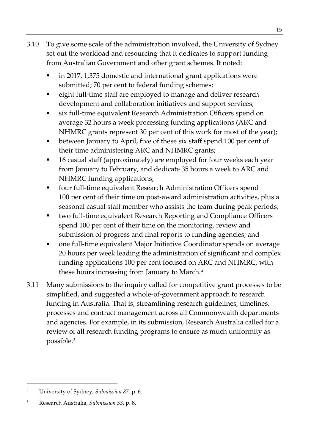- 3.10 To give some scale of the administration involved, the University of Sydney set out the workload and resourcing that it dedicates to support funding from Australian Government and other grant schemes. It noted:
	- in 2017, 1,375 domestic and international grant applications were submitted; 70 per cent to federal funding schemes;
	- eight full-time staff are employed to manage and deliver research development and collaboration initiatives and support services;
	- six full-time equivalent Research Administration Officers spend on average 32 hours a week processing funding applications (ARC and NHMRC grants represent 30 per cent of this work for most of the year);
	- between January to April, five of these six staff spend 100 per cent of their time administering ARC and NHMRC grants;
	- 16 casual staff (approximately) are employed for four weeks each year from January to February, and dedicate 35 hours a week to ARC and NHMRC funding applications;
	- **ficularization Four full-time equivalent Research Administration Officers spend** 100 per cent of their time on post-award administration activities, plus a seasonal casual staff member who assists the team during peak periods;
	- two full-time equivalent Research Reporting and Compliance Officers spend 100 per cent of their time on the monitoring, review and submission of progress and final reports to funding agencies; and
	- one full-time equivalent Major Initiative Coordinator spends on average 20 hours per week leading the administration of significant and complex funding applications 100 per cent focused on ARC and NHMRC, with these hours increasing from January to March.<sup>[4](#page-36-0)</sup>
- 3.11 Many submissions to the inquiry called for competitive grant processes to be simplified, and suggested a whole-of-government approach to research funding in Australia. That is, streamlining research guidelines, timelines, processes and contract management across all Commonwealth departments and agencies. For example, in its submission, Research Australia called for a review of all research funding programs to ensure as much uniformity as possible.[5](#page-36-1)

<span id="page-36-0"></span> <sup>4</sup> University of Sydney, *Submission 87,* p. 6.

<span id="page-36-1"></span><sup>5</sup> Research Australia, *Submission 53,* p. 8.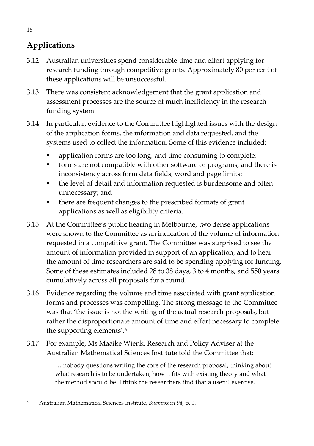# **Applications**

- 3.12 Australian universities spend considerable time and effort applying for research funding through competitive grants. Approximately 80 per cent of these applications will be unsuccessful.
- 3.13 There was consistent acknowledgement that the grant application and assessment processes are the source of much inefficiency in the research funding system.
- 3.14 In particular, evidence to the Committee highlighted issues with the design of the application forms, the information and data requested, and the systems used to collect the information. Some of this evidence included:
	- application forms are too long, and time consuming to complete;
	- forms are not compatible with other software or programs, and there is inconsistency across form data fields, word and page limits;
	- the level of detail and information requested is burdensome and often unnecessary; and
	- there are frequent changes to the prescribed formats of grant applications as well as eligibility criteria.
- 3.15 At the Committee's public hearing in Melbourne, two dense applications were shown to the Committee as an indication of the volume of information requested in a competitive grant. The Committee was surprised to see the amount of information provided in support of an application, and to hear the amount of time researchers are said to be spending applying for funding. Some of these estimates included 28 to 38 days, 3 to 4 months, and 550 years cumulatively across all proposals for a round.
- 3.16 Evidence regarding the volume and time associated with grant application forms and processes was compelling. The strong message to the Committee was that 'the issue is not the writing of the actual research proposals, but rather the disproportionate amount of time and effort necessary to complete the supporting elements'.[6](#page-37-0)
- 3.17 For example, Ms Maaike Wienk, Research and Policy Adviser at the Australian Mathematical Sciences Institute told the Committee that:

… nobody questions writing the core of the research proposal, thinking about what research is to be undertaken, how it fits with existing theory and what the method should be. I think the researchers find that a useful exercise.

<span id="page-37-0"></span> <sup>6</sup> Australian Mathematical Sciences Institute, *Submission 94,* p. 1.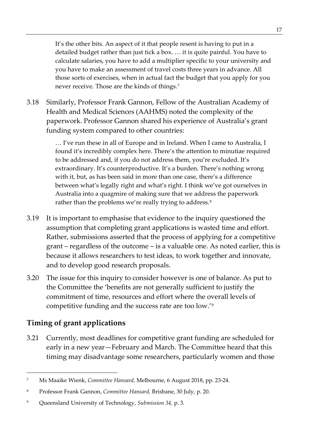It's the other bits. An aspect of it that people resent is having to put in a detailed budget rather than just tick a box. … it is quite painful. You have to calculate salaries, you have to add a multiplier specific to your university and you have to make an assessment of travel costs three years in advance. All those sorts of exercises, when in actual fact the budget that you apply for you never receive. Those are the kinds of things.[7](#page-38-0)

3.18 Similarly, Professor Frank Gannon, Fellow of the Australian Academy of Health and Medical Sciences (AAHMS) noted the complexity of the paperwork. Professor Gannon shared his experience of Australia's grant funding system compared to other countries:

> … I've run these in all of Europe and in Ireland. When I came to Australia, I found it's incredibly complex here. There's the attention to minutiae required to be addressed and, if you do not address them, you're excluded. It's extraordinary. It's counterproductive. It's a burden. There's nothing wrong with it, but, as has been said in more than one case, there's a difference between what's legally right and what's right. I think we've got ourselves in Australia into a quagmire of making sure that we address the paperwork rather than the problems we're really trying to address.<sup>[8](#page-38-1)</sup>

- 3.19 It is important to emphasise that evidence to the inquiry questioned the assumption that completing grant applications is wasted time and effort. Rather, submissions asserted that the process of applying for a competitive grant – regardless of the outcome – is a valuable one. As noted earlier, this is because it allows researchers to test ideas, to work together and innovate, and to develop good research proposals.
- 3.20 The issue for this inquiry to consider however is one of balance. As put to the Committee the 'benefits are not generally sufficient to justify the commitment of time, resources and effort where the overall levels of competitive funding and the success rate are too low.'[9](#page-38-2)

### **Timing of grant applications**

3.21 Currently, most deadlines for competitive grant funding are scheduled for early in a new year—February and March. The Committee heard that this timing may disadvantage some researchers, particularly women and those

<span id="page-38-0"></span> <sup>7</sup> Ms Maaike Wienk, *Committee Hansard,* Melbourne, 6 August 2018, pp. 23-24.

<span id="page-38-1"></span><sup>8</sup> Professor Frank Gannon, *Committee Hansard,* Brisbane, 30 July, p. 20.

<span id="page-38-2"></span><sup>9</sup> Queensland University of Technology, *Submission 34,* p. 3.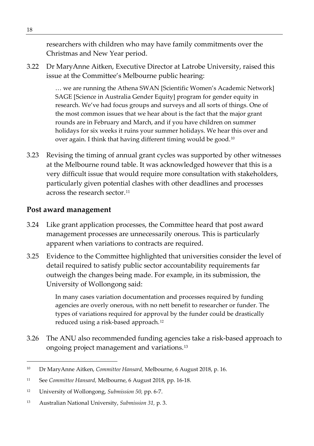researchers with children who may have family commitments over the Christmas and New Year period.

3.22 Dr MaryAnne Aitken, Executive Director at Latrobe University, raised this issue at the Committee's Melbourne public hearing:

> … we are running the Athena SWAN [Scientific Women's Academic Network] SAGE [Science in Australia Gender Equity] program for gender equity in research. We've had focus groups and surveys and all sorts of things. One of the most common issues that we hear about is the fact that the major grant rounds are in February and March, and if you have children on summer holidays for six weeks it ruins your summer holidays. We hear this over and over again. I think that having different timing would be good.[10](#page-39-0)

3.23 Revising the timing of annual grant cycles was supported by other witnesses at the Melbourne round table. It was acknowledged however that this is a very difficult issue that would require more consultation with stakeholders, particularly given potential clashes with other deadlines and processes across the research sector.<sup>[11](#page-39-1)</sup>

#### **Post award management**

- 3.24 Like grant application processes, the Committee heard that post award management processes are unnecessarily onerous. This is particularly apparent when variations to contracts are required.
- 3.25 Evidence to the Committee highlighted that universities consider the level of detail required to satisfy public sector accountability requirements far outweigh the changes being made. For example, in its submission, the University of Wollongong said:

In many cases variation documentation and processes required by funding agencies are overly onerous, with no nett benefit to researcher or funder. The types of variations required for approval by the funder could be drastically reduced using a risk-based approach. [12](#page-39-2)

3.26 The ANU also recommended funding agencies take a risk-based approach to ongoing project management and variations.[13](#page-39-3)

<span id="page-39-0"></span> <sup>10</sup> Dr MaryAnne Aitken, *Committee Hansard,* Melbourne, 6 August 2018, p. 16.

<span id="page-39-1"></span><sup>11</sup> See *Committee Hansard,* Melbourne, 6 August 2018, pp. 16-18.

<span id="page-39-2"></span><sup>12</sup> University of Wollongong, *Submission 50,* pp. 6-7.

<span id="page-39-3"></span><sup>13</sup> Australian National University, *Submission 31,* p. 3.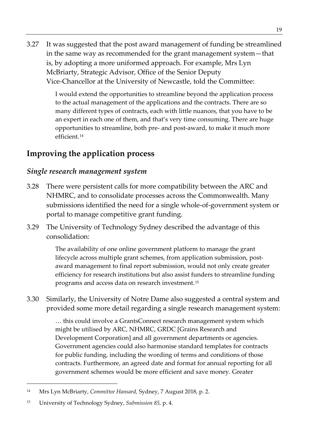3.27 It was suggested that the post award management of funding be streamlined in the same way as recommended for the grant management system—that is, by adopting a more uniformed approach. For example, Mrs Lyn McBriarty, Strategic Advisor, Office of the Senior Deputy Vice-Chancellor at the University of Newcastle, told the Committee:

> I would extend the opportunities to streamline beyond the application process to the actual management of the applications and the contracts. There are so many different types of contracts, each with little nuances, that you have to be an expert in each one of them, and that's very time consuming. There are huge opportunities to streamline, both pre- and post-award, to make it much more efficient.[14](#page-40-0)

# **Improving the application process**

#### *Single research management system*

- 3.28 There were persistent calls for more compatibility between the ARC and NHMRC, and to consolidate processes across the Commonwealth. Many submissions identified the need for a single whole-of-government system or portal to manage competitive grant funding.
- 3.29 The University of Technology Sydney described the advantage of this consolidation:

The availability of one online government platform to manage the grant lifecycle across multiple grant schemes, from application submission, postaward management to final report submission, would not only create greater efficiency for research institutions but also assist funders to streamline funding programs and access data on research investment.[15](#page-40-1)

3.30 Similarly, the University of Notre Dame also suggested a central system and provided some more detail regarding a single research management system:

> … this could involve a GrantsConnect research management system which might be utilised by ARC, NHMRC, GRDC [Grains Research and Development Corporation] and all government departments or agencies. Government agencies could also harmonise standard templates for contracts for public funding, including the wording of terms and conditions of those contracts. Furthermore, an agreed date and format for annual reporting for all government schemes would be more efficient and save money. Greater

<span id="page-40-0"></span> <sup>14</sup> Mrs Lyn McBriarty, *Committee Hansard,* Sydney, 7 August 2018, p. 2.

<span id="page-40-1"></span><sup>15</sup> University of Technology Sydney, *Submission 85,* p. 4.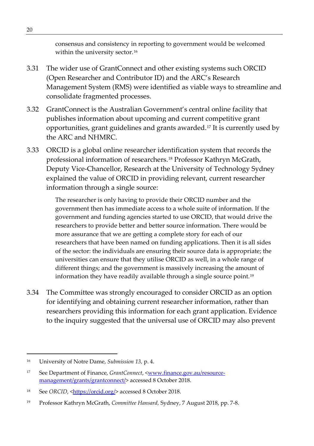consensus and consistency in reporting to government would be welcomed within the university sector.<sup>[16](#page-41-0)</sup>

- 3.31 The wider use of GrantConnect and other existing systems such ORCID (Open Researcher and Contributor ID) and the ARC's Research Management System (RMS) were identified as viable ways to streamline and consolidate fragmented processes.
- 3.32 GrantConnect is the Australian Government's central online facility that publishes information about upcoming and current competitive grant opportunities, grant guidelines and grants awarded.[17](#page-41-1) It is currently used by the ARC and NHMRC.
- 3.33 ORCID is a global online researcher identification system that records the professional information of researchers.[18](#page-41-2) Professor Kathryn McGrath, Deputy Vice-Chancellor, Research at the University of Technology Sydney explained the value of ORCID in providing relevant, current researcher information through a single source:

The researcher is only having to provide their ORCID number and the government then has immediate access to a whole suite of information. If the government and funding agencies started to use ORCID, that would drive the researchers to provide better and better source information. There would be more assurance that we are getting a complete story for each of our researchers that have been named on funding applications. Then it is all sides of the sector: the individuals are ensuring their source data is appropriate; the universities can ensure that they utilise ORCID as well, in a whole range of different things; and the government is massively increasing the amount of information they have readily available through a single source point.[19](#page-41-3)

3.34 The Committee was strongly encouraged to consider ORCID as an option for identifying and obtaining current researcher information, rather than researchers providing this information for each grant application. Evidence to the inquiry suggested that the universal use of ORCID may also prevent

<span id="page-41-0"></span> <sup>16</sup> University of Notre Dame, *Submission 13,* p. 4.

<span id="page-41-1"></span><sup>&</sup>lt;sup>17</sup> See Department of Finance, *GrantConnect*, [<www.finance.gov.au/resource](http://www.finance.gov.au/resource-management/grants/grantconnect/)[management/grants/grantconnect/>](http://www.finance.gov.au/resource-management/grants/grantconnect/) accessed 8 October 2018.

<span id="page-41-2"></span><sup>&</sup>lt;sup>18</sup> See *ORCID*, [<https://orcid.org/>](https://orcid.org/) accessed 8 October 2018.

<span id="page-41-3"></span><sup>19</sup> Professor Kathryn McGrath, *Committee Hansard,* Sydney, 7 August 2018, pp. 7-8.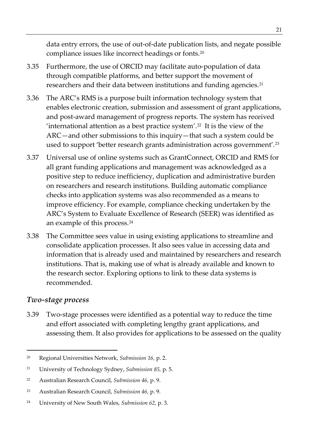data entry errors, the use of out-of-date publication lists, and negate possible compliance issues like incorrect headings or fonts.[20](#page-42-0)

- 3.35 Furthermore, the use of ORCID may facilitate auto-population of data through compatible platforms, and better support the movement of researchers and their data between institutions and funding agencies.<sup>[21](#page-42-1)</sup>
- 3.36 The ARC's RMS is a purpose built information technology system that enables electronic creation, submission and assessment of grant applications, and post-award management of progress reports. The system has received 'international attention as a best practice system'.[22](#page-42-2) It is the view of the ARC—and other submissions to this inquiry—that such a system could be used to support 'better research grants administration across government'.<sup>[23](#page-42-3)</sup>
- 3.37 Universal use of online systems such as GrantConnect, ORCID and RMS for all grant funding applications and management was acknowledged as a positive step to reduce inefficiency, duplication and administrative burden on researchers and research institutions. Building automatic compliance checks into application systems was also recommended as a means to improve efficiency. For example, compliance checking undertaken by the ARC's System to Evaluate Excellence of Research (SEER) was identified as an example of this process.[24](#page-42-4)
- 3.38 The Committee sees value in using existing applications to streamline and consolidate application processes. It also sees value in accessing data and information that is already used and maintained by researchers and research institutions. That is, making use of what is already available and known to the research sector. Exploring options to link to these data systems is recommended.

#### *Two-stage process*

3.39 Two-stage processes were identified as a potential way to reduce the time and effort associated with completing lengthy grant applications, and assessing them. It also provides for applications to be assessed on the quality

<span id="page-42-0"></span> <sup>20</sup> Regional Universities Network, *Submission 16,* p. 2.

<span id="page-42-1"></span><sup>21</sup> University of Technology Sydney, *Submission 85,* p. 5.

<span id="page-42-2"></span><sup>22</sup> Australian Research Council, *Submission 46,* p. 9.

<span id="page-42-3"></span><sup>23</sup> Australian Research Council, *Submission 46,* p. 9.

<span id="page-42-4"></span><sup>24</sup> University of New South Wales, *Submission 62,* p. 3.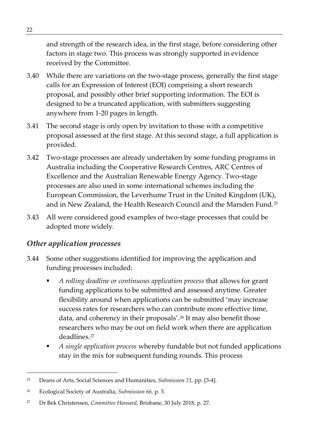and strength of the research idea, in the first stage, before considering other factors in stage two. This process was strongly supported in evidence received by the Committee.

- 3.40 While there are variations on the two-stage process, generally the first stage calls for an Expression of Interest (EOI) comprising a short research proposal, and possibly other brief supporting information. The EOI is designed to be a truncated application, with submitters suggesting anywhere from 1-20 pages in length.
- 3.41 The second stage is only open by invitation to those with a competitive proposal assessed at the first stage. At this second stage, a full application is provided.
- 3.42 Two-stage processes are already undertaken by some funding programs in Australia including the Cooperative Research Centres, ARC Centres of Excellence and the Australian Renewable Energy Agency. Two-stage processes are also used in some international schemes including the European Commission, the Leverhume Trust in the United Kingdom (UK), and in New Zealand, the Health Research Council and the Marsden Fund.[25](#page-43-0)
- 3.43 All were considered good examples of two-stage processes that could be adopted more widely.

#### *Other application processes*

- 3.44 Some other suggestions identified for improving the application and funding processes included:
	- *A rolling deadline or continuous application process* that allows for grant funding applications to be submitted and assessed anytime. Greater flexibility around when applications can be submitted 'may increase success rates for researchers who can contribute more effective time, data, and coherency in their proposals'.[26](#page-43-1) It may also benefit those researchers who may be out on field work when there are application deadlines.[27](#page-43-2)
	- *A single application process* whereby fundable but not funded applications stay in the mix for subsequent funding rounds. This process

<span id="page-43-0"></span> <sup>25</sup> Deans of Arts, Social Sciences and Humanities, *Submission 21,* pp. [3-4].

<span id="page-43-1"></span><sup>26</sup> Ecological Society of Australia, *Submission 66,* p. 3.

<span id="page-43-2"></span><sup>27</sup> Dr Bek Christensen, *Committee Hansard,* Brisbane, 30 July 2018, p. 27.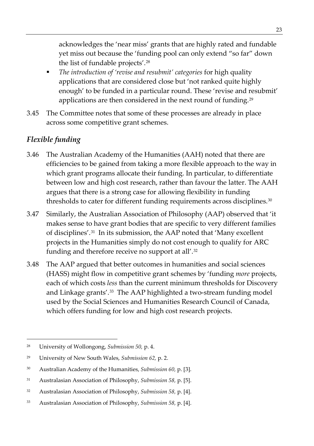acknowledges the 'near miss' grants that are highly rated and fundable yet miss out because the 'funding pool can only extend "so far" down the list of fundable projects'.[28](#page-44-0)

- *The introduction of 'revise and resubmit' categories* for high quality applications that are considered close but 'not ranked quite highly enough' to be funded in a particular round. These 'revise and resubmit' applications are then considered in the next round of funding.[29](#page-44-1)
- 3.45 The Committee notes that some of these processes are already in place across some competitive grant schemes.

## *Flexible funding*

- 3.46 The Australian Academy of the Humanities (AAH) noted that there are efficiencies to be gained from taking a more flexible approach to the way in which grant programs allocate their funding. In particular, to differentiate between low and high cost research, rather than favour the latter. The AAH argues that there is a strong case for allowing flexibility in funding thresholds to cater for different funding requirements across disciplines.<sup>[30](#page-44-2)</sup>
- 3.47 Similarly, the Australian Association of Philosophy (AAP) observed that 'it makes sense to have grant bodies that are specific to very different families of disciplines'[.31](#page-44-3) In its submission, the AAP noted that 'Many excellent projects in the Humanities simply do not cost enough to qualify for ARC funding and therefore receive no support at all'[.32](#page-44-4)
- 3.48 The AAP argued that better outcomes in humanities and social sciences (HASS) might flow in competitive grant schemes by 'funding *more* projects, each of which costs *less* than the current minimum thresholds for Discovery and Linkage grants'.<sup>33</sup> The AAP highlighted a two-stream funding model used by the Social Sciences and Humanities Research Council of Canada, which offers funding for low and high cost research projects.

<span id="page-44-0"></span> <sup>28</sup> University of Wollongong, *Submission 50,* p. 4.

<span id="page-44-1"></span><sup>29</sup> University of New South Wales, *Submission 62,* p. 2.

<span id="page-44-2"></span><sup>30</sup> Australian Academy of the Humanities, *Submission 60,* p. [3].

<span id="page-44-3"></span><sup>31</sup> Australasian Association of Philosophy, *Submission 58,* p. [5].

<span id="page-44-4"></span><sup>32</sup> Australasian Association of Philosophy, *Submission 58,* p. [4].

<span id="page-44-5"></span><sup>33</sup> Australasian Association of Philosophy, *Submission 58,* p. [4].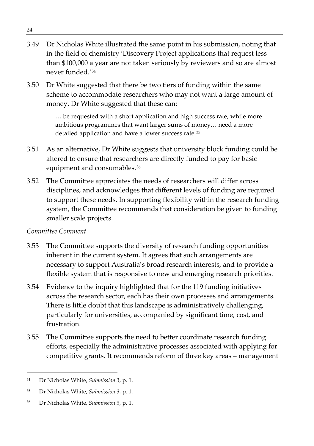- 3.49 Dr Nicholas White illustrated the same point in his submission, noting that in the field of chemistry 'Discovery Project applications that request less than \$100,000 a year are not taken seriously by reviewers and so are almost never funded.'[34](#page-45-0)
- 3.50 Dr White suggested that there be two tiers of funding within the same scheme to accommodate researchers who may not want a large amount of money. Dr White suggested that these can:

… be requested with a short application and high success rate, while more ambitious programmes that want larger sums of money… need a more detailed application and have a lower success rate.<sup>[35](#page-45-1)</sup>

- 3.51 As an alternative, Dr White suggests that university block funding could be altered to ensure that researchers are directly funded to pay for basic equipment and consumables.<sup>[36](#page-45-2)</sup>
- 3.52 The Committee appreciates the needs of researchers will differ across disciplines, and acknowledges that different levels of funding are required to support these needs. In supporting flexibility within the research funding system, the Committee recommends that consideration be given to funding smaller scale projects.

#### *Committee Comment*

- 3.53 The Committee supports the diversity of research funding opportunities inherent in the current system. It agrees that such arrangements are necessary to support Australia's broad research interests, and to provide a flexible system that is responsive to new and emerging research priorities.
- 3.54 Evidence to the inquiry highlighted that for the 119 funding initiatives across the research sector, each has their own processes and arrangements. There is little doubt that this landscape is administratively challenging, particularly for universities, accompanied by significant time, cost, and frustration.
- 3.55 The Committee supports the need to better coordinate research funding efforts, especially the administrative processes associated with applying for competitive grants. It recommends reform of three key areas – management

<span id="page-45-0"></span> <sup>34</sup> Dr Nicholas White, *Submission 3,* p. 1.

<span id="page-45-1"></span><sup>35</sup> Dr Nicholas White, *Submission 3,* p. 1.

<span id="page-45-2"></span><sup>36</sup> Dr Nicholas White, *Submission 3,* p. 1.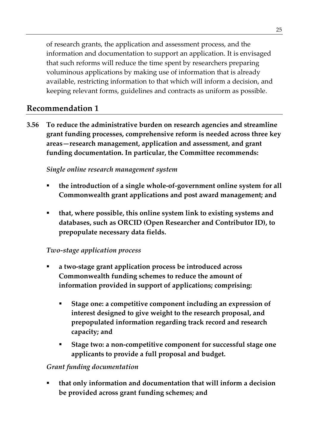of research grants, the application and assessment process, and the information and documentation to support an application. It is envisaged that such reforms will reduce the time spent by researchers preparing voluminous applications by making use of information that is already available, restricting information to that which will inform a decision, and keeping relevant forms, guidelines and contracts as uniform as possible.

## **Recommendation 1**

**3.56 To reduce the administrative burden on research agencies and streamline grant funding processes, comprehensive reform is needed across three key areas—research management, application and assessment, and grant funding documentation. In particular, the Committee recommends:**

#### *Single online research management system*

- **the introduction of a single whole-of-government online system for all Commonwealth grant applications and post award management; and**
- **that, where possible, this online system link to existing systems and databases, such as ORCID (Open Researcher and Contributor ID), to prepopulate necessary data fields.**

#### *Two-stage application process*

- **a two-stage grant application process be introduced across Commonwealth funding schemes to reduce the amount of information provided in support of applications; comprising:** 
	- **Stage one: a competitive component including an expression of interest designed to give weight to the research proposal, and prepopulated information regarding track record and research capacity; and**
	- **Stage two: a non-competitive component for successful stage one applicants to provide a full proposal and budget.**

#### *Grant funding documentation*

 **that only information and documentation that will inform a decision be provided across grant funding schemes; and**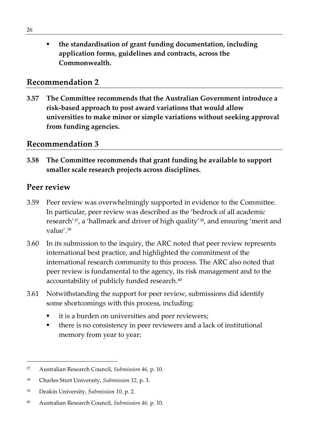**the standardisation of grant funding documentation, including application forms, guidelines and contracts, across the Commonwealth.**

#### **Recommendation 2**

**3.57 The Committee recommends that the Australian Government introduce a risk-based approach to post award variations that would allow universities to make minor or simple variations without seeking approval from funding agencies.**

#### **Recommendation 3**

**3.58 The Committee recommends that grant funding be available to support smaller scale research projects across disciplines.** 

#### **Peer review**

- 3.59 Peer review was overwhelmingly supported in evidence to the Committee. In particular, peer review was described as the 'bedrock of all academic research<sup>'[37](#page-47-0)</sup>, a 'hallmark and driver of high quality'<sup>38</sup>, and ensuring 'merit and value' $39$
- 3.60 In its submission to the inquiry, the ARC noted that peer review represents international best practice, and highlighted the commitment of the international research community to this process. The ARC also noted that peer review is fundamental to the agency, its risk management and to the accountability of publicly funded research.<sup>40</sup>
- 3.61 Notwithstanding the support for peer review, submissions did identify some shortcomings with this process, including:
	- it is a burden on universities and peer reviewers;
	- there is no consistency in peer reviewers and a lack of institutional memory from year to year;

<span id="page-47-0"></span> <sup>37</sup> Australian Research Council, *Submission 46,* p. 10.

<span id="page-47-1"></span><sup>38</sup> Charles Sturt University, *Submission 32,* p. 3.

<span id="page-47-2"></span><sup>39</sup> Deakin University, *Submission 10,* p. 2.

<span id="page-47-3"></span><sup>40</sup> Australian Research Council, *Submission 46,* p. 10.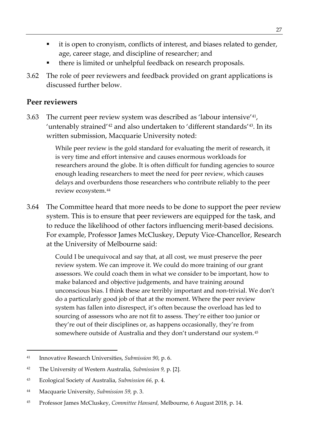- it is open to cronyism, conflicts of interest, and biases related to gender, age, career stage, and discipline of researcher; and
- there is limited or unhelpful feedback on research proposals.
- 3.62 The role of peer reviewers and feedback provided on grant applications is discussed further below.

#### **Peer reviewers**

3.63 The current peer review system was described as 'labour intensive'[41](#page-48-0), 'untenably strained'[42](#page-48-1) and also undertaken to 'different standards'[43](#page-48-2). In its written submission, Macquarie University noted:

> While peer review is the gold standard for evaluating the merit of research, it is very time and effort intensive and causes enormous workloads for researchers around the globe. It is often difficult for funding agencies to source enough leading researchers to meet the need for peer review, which causes delays and overburdens those researchers who contribute reliably to the peer review ecosystem.[44](#page-48-3)

3.64 The Committee heard that more needs to be done to support the peer review system. This is to ensure that peer reviewers are equipped for the task, and to reduce the likelihood of other factors influencing merit-based decisions. For example, Professor James McCluskey, Deputy Vice-Chancellor, Research at the University of Melbourne said:

> Could I be unequivocal and say that, at all cost, we must preserve the peer review system. We can improve it. We could do more training of our grant assessors. We could coach them in what we consider to be important, how to make balanced and objective judgements, and have training around unconscious bias. I think these are terribly important and non-trivial. We don't do a particularly good job of that at the moment. Where the peer review system has fallen into disrespect, it's often because the overload has led to sourcing of assessors who are not fit to assess. They're either too junior or they're out of their disciplines or, as happens occasionally, they're from somewhere outside of Australia and they don't understand our system.[45](#page-48-4)

<span id="page-48-0"></span> <sup>41</sup> Innovative Research Universities, *Submission 90*, p. 6.

<span id="page-48-1"></span><sup>42</sup> The University of Western Australia, *Submission 9,* p. [2].

<span id="page-48-2"></span><sup>43</sup> Ecological Society of Australia, *Submission 66,* p. 4.

<span id="page-48-3"></span><sup>44</sup> Macquarie University, *Submission 59,* p. 3.

<span id="page-48-4"></span><sup>45</sup> Professor James McCluskey, *Committee Hansard,* Melbourne, 6 August 2018, p. 14.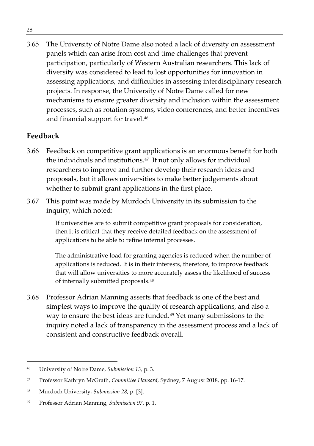3.65 The University of Notre Dame also noted a lack of diversity on assessment panels which can arise from cost and time challenges that prevent participation, particularly of Western Australian researchers. This lack of diversity was considered to lead to lost opportunities for innovation in assessing applications, and difficulties in assessing interdisciplinary research projects. In response, the University of Notre Dame called for new mechanisms to ensure greater diversity and inclusion within the assessment processes, such as rotation systems, video conferences, and better incentives and financial support for travel.[46](#page-49-0)

#### **Feedback**

- 3.66 Feedback on competitive grant applications is an enormous benefit for both the individuals and institutions.[47](#page-49-1) It not only allows for individual researchers to improve and further develop their research ideas and proposals, but it allows universities to make better judgements about whether to submit grant applications in the first place.
- 3.67 This point was made by Murdoch University in its submission to the inquiry, which noted:

If universities are to submit competitive grant proposals for consideration, then it is critical that they receive detailed feedback on the assessment of applications to be able to refine internal processes.

The administrative load for granting agencies is reduced when the number of applications is reduced. It is in their interests, therefore, to improve feedback that will allow universities to more accurately assess the likelihood of success of internally submitted proposals.[48](#page-49-2)

3.68 Professor Adrian Manning asserts that feedback is one of the best and simplest ways to improve the quality of research applications, and also a way to ensure the best ideas are funded.<sup>[49](#page-49-3)</sup> Yet many submissions to the inquiry noted a lack of transparency in the assessment process and a lack of consistent and constructive feedback overall.

<span id="page-49-0"></span> <sup>46</sup> University of Notre Dame, *Submission 13,* p. 3.

<span id="page-49-1"></span><sup>47</sup> Professor Kathryn McGrath, *Committee Hansard,* Sydney, 7 August 2018, pp. 16-17.

<span id="page-49-2"></span><sup>48</sup> Murdoch University, *Submission 28,* p. [3].

<span id="page-49-3"></span><sup>49</sup> Professor Adrian Manning, *Submission 97,* p. 1.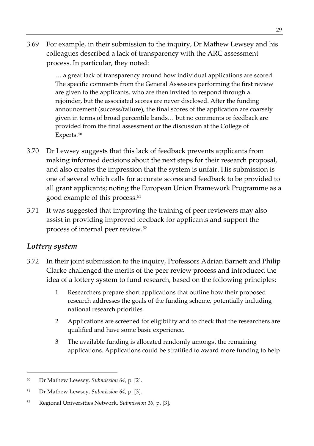3.69 For example, in their submission to the inquiry, Dr Mathew Lewsey and his colleagues described a lack of transparency with the ARC assessment process. In particular, they noted:

> … a great lack of transparency around how individual applications are scored. The specific comments from the General Assessors performing the first review are given to the applicants, who are then invited to respond through a rejoinder, but the associated scores are never disclosed. After the funding announcement (success/failure), the final scores of the application are coarsely given in terms of broad percentile bands… but no comments or feedback are provided from the final assessment or the discussion at the College of Experts.[50](#page-50-0)

- 3.70 Dr Lewsey suggests that this lack of feedback prevents applicants from making informed decisions about the next steps for their research proposal, and also creates the impression that the system is unfair. His submission is one of several which calls for accurate scores and feedback to be provided to all grant applicants; noting the European Union Framework Programme as a good example of this process.[51](#page-50-1)
- 3.71 It was suggested that improving the training of peer reviewers may also assist in providing improved feedback for applicants and support the process of internal peer review.[52](#page-50-2)

#### *Lottery system*

- 3.72 In their joint submission to the inquiry, Professors Adrian Barnett and Philip Clarke challenged the merits of the peer review process and introduced the idea of a lottery system to fund research, based on the following principles:
	- 1 Researchers prepare short applications that outline how their proposed research addresses the goals of the funding scheme, potentially including national research priorities.
	- 2 Applications are screened for eligibility and to check that the researchers are qualified and have some basic experience.
	- 3 The available funding is allocated randomly amongst the remaining applications. Applications could be stratified to award more funding to help

<span id="page-50-0"></span> <sup>50</sup> Dr Mathew Lewsey, *Submission 64,* p. [2].

<span id="page-50-1"></span><sup>51</sup> Dr Mathew Lewsey, *Submission 64,* p. [3].

<span id="page-50-2"></span><sup>52</sup> Regional Universities Network, *Submission 16,* p. [3].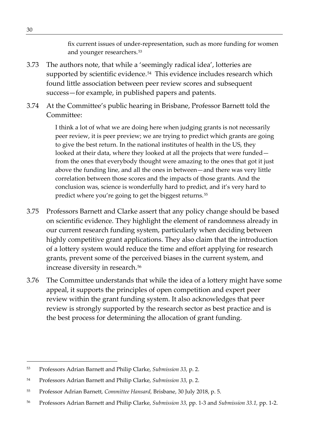fix current issues of under-representation, such as more funding for women and younger researchers.[53](#page-51-0)

- 3.73 The authors note, that while a 'seemingly radical idea', lotteries are supported by scientific evidence.<sup>54</sup> This evidence includes research which found little association between peer review scores and subsequent success—for example, in published papers and patents.
- 3.74 At the Committee's public hearing in Brisbane, Professor Barnett told the Committee:

I think a lot of what we are doing here when judging grants is not necessarily peer review, it is peer preview; we are trying to predict which grants are going to give the best return. In the national institutes of health in the US, they looked at their data, where they looked at all the projects that were funded from the ones that everybody thought were amazing to the ones that got it just above the funding line, and all the ones in between—and there was very little correlation between those scores and the impacts of those grants. And the conclusion was, science is wonderfully hard to predict, and it's very hard to predict where you're going to get the biggest returns.[55](#page-51-2)

- 3.75 Professors Barnett and Clarke assert that any policy change should be based on scientific evidence. They highlight the element of randomness already in our current research funding system, particularly when deciding between highly competitive grant applications. They also claim that the introduction of a lottery system would reduce the time and effort applying for research grants, prevent some of the perceived biases in the current system, and increase diversity in research.<sup>56</sup>
- 3.76 The Committee understands that while the idea of a lottery might have some appeal, it supports the principles of open competition and expert peer review within the grant funding system. It also acknowledges that peer review is strongly supported by the research sector as best practice and is the best process for determining the allocation of grant funding.

<span id="page-51-0"></span> <sup>53</sup> Professors Adrian Barnett and Philip Clarke, *Submission 33,* p. 2.

<span id="page-51-1"></span><sup>54</sup> Professors Adrian Barnett and Philip Clarke, *Submission 33,* p. 2.

<span id="page-51-2"></span><sup>55</sup> Professor Adrian Barnett*, Committee Hansard,* Brisbane, 30 July 2018, p. 5.

<span id="page-51-3"></span><sup>56</sup> Professors Adrian Barnett and Philip Clarke, *Submission 33,* pp. 1-3 and *Submission 33.1,* pp. 1-2.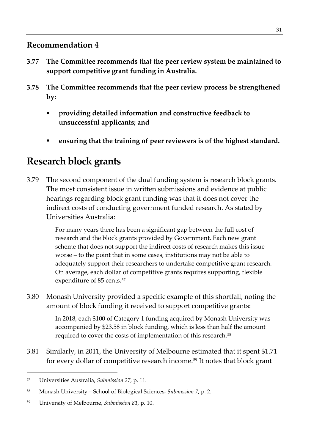#### **Recommendation 4**

- **3.77 The Committee recommends that the peer review system be maintained to support competitive grant funding in Australia.**
- **3.78 The Committee recommends that the peer review process be strengthened by:**
	- **providing detailed information and constructive feedback to unsuccessful applicants; and**
	- **ensuring that the training of peer reviewers is of the highest standard.**

# **Research block grants**

3.79 The second component of the dual funding system is research block grants. The most consistent issue in written submissions and evidence at public hearings regarding block grant funding was that it does not cover the indirect costs of conducting government funded research. As stated by Universities Australia:

> For many years there has been a significant gap between the full cost of research and the block grants provided by Government. Each new grant scheme that does not support the indirect costs of research makes this issue worse – to the point that in some cases, institutions may not be able to adequately support their researchers to undertake competitive grant research. On average, each dollar of competitive grants requires supporting, flexible expenditure of 85 cents.<sup>[57](#page-52-0)</sup>

3.80 Monash University provided a specific example of this shortfall, noting the amount of block funding it received to support competitive grants:

> In 2018, each \$100 of Category 1 funding acquired by Monash University was accompanied by \$23.58 in block funding, which is less than half the amount required to cover the costs of implementation of this research.<sup>[58](#page-52-1)</sup>

3.81 Similarly, in 2011, the University of Melbourne estimated that it spent \$1.71 for every dollar of competitive research income.[59](#page-52-2) It notes that block grant

<span id="page-52-0"></span> <sup>57</sup> Universities Australia, *Submission 27,* p. 11.

<span id="page-52-1"></span><sup>58</sup> Monash University – School of Biological Sciences, *Submission 7,* p. 2.

<span id="page-52-2"></span><sup>59</sup> University of Melbourne, *Submission 81,* p. 10.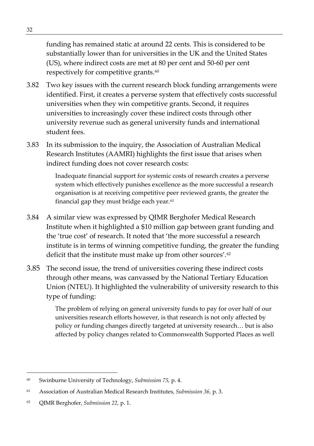funding has remained static at around 22 cents. This is considered to be substantially lower than for universities in the UK and the United States (US), where indirect costs are met at 80 per cent and 50-60 per cent respectively for competitive grants.<sup>[60](#page-53-0)</sup>

- 3.82 Two key issues with the current research block funding arrangements were identified. First, it creates a perverse system that effectively costs successful universities when they win competitive grants. Second, it requires universities to increasingly cover these indirect costs through other university revenue such as general university funds and international student fees.
- 3.83 In its submission to the inquiry, the Association of Australian Medical Research Institutes (AAMRI) highlights the first issue that arises when indirect funding does not cover research costs:

Inadequate financial support for systemic costs of research creates a perverse system which effectively punishes excellence as the more successful a research organisation is at receiving competitive peer reviewed grants, the greater the financial gap they must bridge each year.<sup>[61](#page-53-1)</sup>

- 3.84 A similar view was expressed by QIMR Berghofer Medical Research Institute when it highlighted a \$10 million gap between grant funding and the 'true cost' of research. It noted that 'the more successful a research institute is in terms of winning competitive funding, the greater the funding deficit that the institute must make up from other sources'.<sup>[62](#page-53-2)</sup>
- 3.85 The second issue, the trend of universities covering these indirect costs through other means, was canvassed by the National Tertiary Education Union (NTEU). It highlighted the vulnerability of university research to this type of funding:

The problem of relying on general university funds to pay for over half of our universities research efforts however, is that research is not only affected by policy or funding changes directly targeted at university research… but is also affected by policy changes related to Commonwealth Supported Places as well

<span id="page-53-0"></span> <sup>60</sup> Swinburne University of Technology, *Submission 75,* p. 4.

<span id="page-53-1"></span><sup>61</sup> Association of Australian Medical Research Institutes, *Submission 36,* p. 3.

<span id="page-53-2"></span><sup>62</sup> QIMR Berghofer, *Submission 22,* p. 1.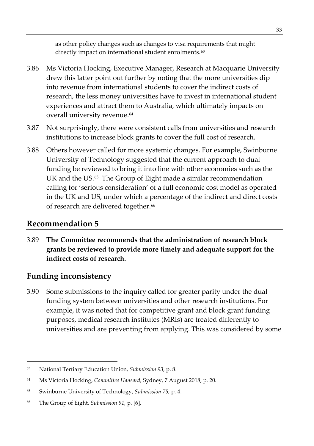as other policy changes such as changes to visa requirements that might directly impact on international student enrolments.<sup>[63](#page-54-0)</sup>

- 3.86 Ms Victoria Hocking, Executive Manager, Research at Macquarie University drew this latter point out further by noting that the more universities dip into revenue from international students to cover the indirect costs of research, the less money universities have to invest in international student experiences and attract them to Australia, which ultimately impacts on overall university revenue.<sup>[64](#page-54-1)</sup>
- 3.87 Not surprisingly, there were consistent calls from universities and research institutions to increase block grants to cover the full cost of research.
- 3.88 Others however called for more systemic changes. For example, Swinburne University of Technology suggested that the current approach to dual funding be reviewed to bring it into line with other economies such as the UK and the US. $65$  The Group of Eight made a similar recommendation calling for 'serious consideration' of a full economic cost model as operated in the UK and US, under which a percentage of the indirect and direct costs of research are delivered together.<sup>[66](#page-54-3)</sup>

## **Recommendation 5**

3.89 **The Committee recommends that the administration of research block grants be reviewed to provide more timely and adequate support for the indirect costs of research.** 

### **Funding inconsistency**

3.90 Some submissions to the inquiry called for greater parity under the dual funding system between universities and other research institutions. For example, it was noted that for competitive grant and block grant funding purposes, medical research institutes (MRIs) are treated differently to universities and are preventing from applying. This was considered by some

<span id="page-54-0"></span> <sup>63</sup> National Tertiary Education Union, *Submission 93,* p. 8.

<span id="page-54-1"></span><sup>64</sup> Ms Victoria Hocking, *Committee Hansard,* Sydney, 7 August 2018, p. 20.

<span id="page-54-2"></span><sup>65</sup> Swinburne University of Technology, *Submission 75,* p. 4.

<span id="page-54-3"></span><sup>66</sup> The Group of Eight, *Submission 91,* p. [6].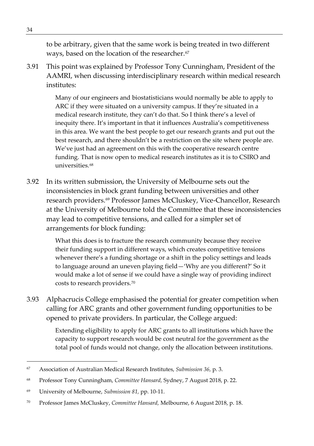to be arbitrary, given that the same work is being treated in two different ways, based on the location of the researcher.<sup>[67](#page-55-0)</sup>

3.91 This point was explained by Professor Tony Cunningham, President of the AAMRI, when discussing interdisciplinary research within medical research institutes:

> Many of our engineers and biostatisticians would normally be able to apply to ARC if they were situated on a university campus. If they're situated in a medical research institute, they can't do that. So I think there's a level of inequity there. It's important in that it influences Australia's competitiveness in this area. We want the best people to get our research grants and put out the best research, and there shouldn't be a restriction on the site where people are. We've just had an agreement on this with the cooperative research centre funding. That is now open to medical research institutes as it is to CSIRO and universities.[68](#page-55-1)

3.92 In its written submission, the University of Melbourne sets out the inconsistencies in block grant funding between universities and other research providers.[69](#page-55-2) Professor James McCluskey, Vice-Chancellor, Research at the University of Melbourne told the Committee that these inconsistencies may lead to competitive tensions, and called for a simpler set of arrangements for block funding:

> What this does is to fracture the research community because they receive their funding support in different ways, which creates competitive tensions whenever there's a funding shortage or a shift in the policy settings and leads to language around an uneven playing field—'Why are you different?' So it would make a lot of sense if we could have a single way of providing indirect costs to research providers.[70](#page-55-3)

3.93 Alphacrucis College emphasised the potential for greater competition when calling for ARC grants and other government funding opportunities to be opened to private providers. In particular, the College argued:

> Extending eligibility to apply for ARC grants to all institutions which have the capacity to support research would be cost neutral for the government as the total pool of funds would not change, only the allocation between institutions.

<span id="page-55-0"></span> <sup>67</sup> Association of Australian Medical Research Institutes, *Submission 36,* p. 3.

<span id="page-55-1"></span><sup>68</sup> Professor Tony Cunningham, *Committee Hansard,* Sydney, 7 August 2018, p. 22.

<span id="page-55-2"></span><sup>69</sup> University of Melbourne, *Submission 81,* pp. 10-11.

<span id="page-55-3"></span><sup>70</sup> Professor James McCluskey, *Committee Hansard,* Melbourne, 6 August 2018, p. 18.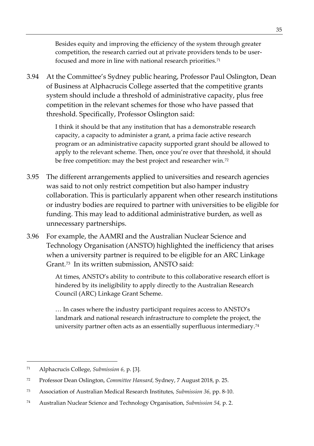Besides equity and improving the efficiency of the system through greater competition, the research carried out at private providers tends to be userfocused and more in line with national research priorities.[71](#page-56-0)

3.94 At the Committee's Sydney public hearing, Professor Paul Oslington, Dean of Business at Alphacrucis College asserted that the competitive grants system should include a threshold of administrative capacity, plus free competition in the relevant schemes for those who have passed that threshold. Specifically, Professor Oslington said:

> I think it should be that any institution that has a demonstrable research capacity, a capacity to administer a grant, a prima facie active research program or an administrative capacity supported grant should be allowed to apply to the relevant scheme. Then, once you're over that threshold, it should be free competition: may the best project and researcher win.[72](#page-56-1)

- 3.95 The different arrangements applied to universities and research agencies was said to not only restrict competition but also hamper industry collaboration. This is particularly apparent when other research institutions or industry bodies are required to partner with universities to be eligible for funding. This may lead to additional administrative burden, as well as unnecessary partnerships.
- 3.96 For example, the AAMRI and the Australian Nuclear Science and Technology Organisation (ANSTO) highlighted the inefficiency that arises when a university partner is required to be eligible for an ARC Linkage Grant.[73](#page-56-2) In its written submission, ANSTO said:

At times, ANSTO's ability to contribute to this collaborative research effort is hindered by its ineligibility to apply directly to the Australian Research Council (ARC) Linkage Grant Scheme.

… In cases where the industry participant requires access to ANSTO's landmark and national research infrastructure to complete the project, the university partner often acts as an essentially superfluous intermediary.[74](#page-56-3)

<span id="page-56-0"></span> <sup>71</sup> Alphacrucis College, *Submission 6,* p. [3].

<span id="page-56-1"></span><sup>72</sup> Professor Dean Oslington, *Committee Hansard,* Sydney, 7 August 2018, p. 25.

<span id="page-56-2"></span><sup>73</sup> Association of Australian Medical Research Institutes, *Submission 36,* pp. 8-10.

<span id="page-56-3"></span><sup>74</sup> Australian Nuclear Science and Technology Organisation, *Submission 54,* p. 2.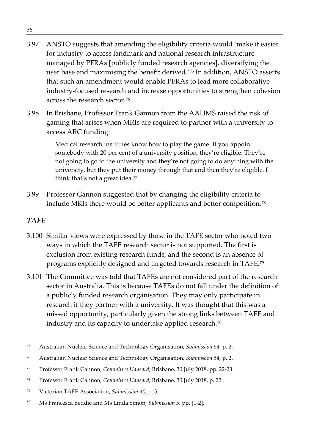- 3.97 ANSTO suggests that amending the eligibility criteria would 'make it easier for industry to access landmark and national research infrastructure managed by PFRAs [publicly funded research agencies], diversifying the user base and maximising the benefit derived.['75](#page-57-0) In addition, ANSTO asserts that such an amendment would enable PFRAs to lead more collaborative industry-focused research and increase opportunities to strengthen cohesion across the research sector.[76](#page-57-1)
- 3.98 In Brisbane, Professor Frank Gannon from the AAHMS raised the risk of gaming that arises when MRIs are required to partner with a university to access ARC funding:

Medical research institutes know how to play the game. If you appoint somebody with 20 per cent of a university position, they're eligible. They're not going to go to the university and they're not going to do anything with the university, but they put their money through that and then they're eligible. I think that's not a great idea.<sup>[77](#page-57-2)</sup>

3.99 Professor Gannon suggested that by changing the eligibility criteria to include MRIs there would be better applicants and better competition.[78](#page-57-3)

#### *TAFE*

- 3.100 Similar views were expressed by those in the TAFE sector who noted two ways in which the TAFE research sector is not supported. The first is exclusion from existing research funds, and the second is an absence of programs explicitly designed and targeted towards research in TAFE.[79](#page-57-4)
- 3.101 The Committee was told that TAFEs are not considered part of the research sector in Australia. This is because TAFEs do not fall under the definition of a publicly funded research organisation. They may only participate in research if they partner with a university. It was thought that this was a missed opportunity, particularly given the strong links between TAFE and industry and its capacity to undertake applied research.<sup>80</sup>

<span id="page-57-0"></span> <sup>75</sup> Australian Nuclear Science and Technology Organisation, *Submission 54,* p. 2.

<span id="page-57-1"></span><sup>76</sup> Australian Nuclear Science and Technology Organisation, *Submission 54,* p. 2.

<span id="page-57-2"></span><sup>77</sup> Professor Frank Gannon, *Committee Hansard,* Brisbane, 30 July 2018, pp. 22-23.

<span id="page-57-3"></span><sup>78</sup> Professor Frank Gannon, *Committee Hansard,* Brisbane, 30 July 2018, p. 22.

<span id="page-57-4"></span><sup>79</sup> Victorian TAFE Association, *Submission 40,* p. 5.

<span id="page-57-5"></span><sup>80</sup> Ms Francesca Beddie and Ms Linda Simon, *Submission 5,* pp. [1-2].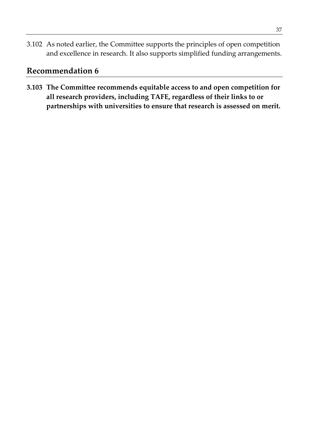3.102 As noted earlier, the Committee supports the principles of open competition and excellence in research. It also supports simplified funding arrangements.

#### **Recommendation 6**

**3.103 The Committee recommends equitable access to and open competition for all research providers, including TAFE, regardless of their links to or partnerships with universities to ensure that research is assessed on merit.**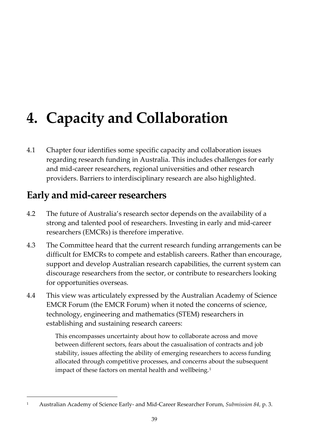# **4. Capacity and Collaboration**

4.1 Chapter four identifies some specific capacity and collaboration issues regarding research funding in Australia. This includes challenges for early and mid-career researchers, regional universities and other research providers. Barriers to interdisciplinary research are also highlighted.

# **Early and mid-career researchers**

- 4.2 The future of Australia's research sector depends on the availability of a strong and talented pool of researchers. Investing in early and mid-career researchers (EMCRs) is therefore imperative.
- 4.3 The Committee heard that the current research funding arrangements can be difficult for EMCRs to compete and establish careers. Rather than encourage, support and develop Australian research capabilities, the current system can discourage researchers from the sector, or contribute to researchers looking for opportunities overseas.
- 4.4 This view was articulately expressed by the Australian Academy of Science EMCR Forum (the EMCR Forum) when it noted the concerns of science, technology, engineering and mathematics (STEM) researchers in establishing and sustaining research careers:

This encompasses uncertainty about how to collaborate across and move between different sectors, fears about the casualisation of contracts and job stability, issues affecting the ability of emerging researchers to access funding allocated through competitive processes, and concerns about the subsequent impact of these factors on mental health and wellbeing.<sup>[1](#page-60-0)</sup>

<span id="page-60-0"></span> <sup>1</sup> Australian Academy of Science Early- and Mid-Career Researcher Forum, *Submission 84,* p. 3.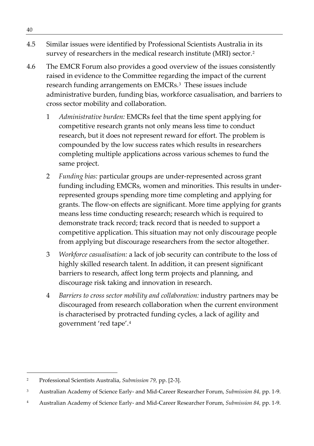- 4.5 Similar issues were identified by Professional Scientists Australia in its survey of researchers in the medical research institute (MRI) sector.<sup>[2](#page-61-0)</sup>
- 4.6 The EMCR Forum also provides a good overview of the issues consistently raised in evidence to the Committee regarding the impact of the current research funding arrangements on EMCRs.<sup>[3](#page-61-1)</sup> These issues include administrative burden, funding bias, workforce casualisation, and barriers to cross sector mobility and collaboration.
	- 1 *Administrative burden:* EMCRs feel that the time spent applying for competitive research grants not only means less time to conduct research, but it does not represent reward for effort. The problem is compounded by the low success rates which results in researchers completing multiple applications across various schemes to fund the same project.
	- 2 *Funding bias:* particular groups are under-represented across grant funding including EMCRs, women and minorities. This results in underrepresented groups spending more time completing and applying for grants. The flow-on effects are significant. More time applying for grants means less time conducting research; research which is required to demonstrate track record; track record that is needed to support a competitive application. This situation may not only discourage people from applying but discourage researchers from the sector altogether.
	- 3 *Workforce casualisation:* a lack of job security can contribute to the loss of highly skilled research talent. In addition, it can present significant barriers to research, affect long term projects and planning, and discourage risk taking and innovation in research.
	- 4 *Barriers to cross sector mobility and collaboration:* industry partners may be discouraged from research collaboration when the current environment is characterised by protracted funding cycles, a lack of agility and government 'red tape'.[4](#page-61-2)

<span id="page-61-0"></span> <sup>2</sup> Professional Scientists Australia, *Submission 79,* pp. [2-3].

<span id="page-61-1"></span><sup>3</sup> Australian Academy of Science Early- and Mid-Career Researcher Forum, *Submission 84,* pp. 1-9.

<span id="page-61-2"></span><sup>4</sup> Australian Academy of Science Early- and Mid-Career Researcher Forum, *Submission 84,* pp. 1-9.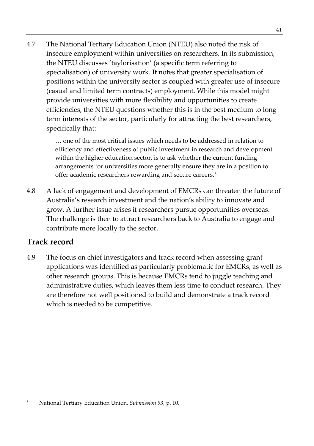4.7 The National Tertiary Education Union (NTEU) also noted the risk of insecure employment within universities on researchers. In its submission, the NTEU discusses 'taylorisation' (a specific term referring to specialisation) of university work. It notes that greater specialisation of positions within the university sector is coupled with greater use of insecure (casual and limited term contracts) employment. While this model might provide universities with more flexibility and opportunities to create efficiencies, the NTEU questions whether this is in the best medium to long term interests of the sector, particularly for attracting the best researchers, specifically that:

> … one of the most critical issues which needs to be addressed in relation to efficiency and effectiveness of public investment in research and development within the higher education sector, is to ask whether the current funding arrangements for universities more generally ensure they are in a position to offer academic researchers rewarding and secure careers.[5](#page-62-0)

4.8 A lack of engagement and development of EMCRs can threaten the future of Australia's research investment and the nation's ability to innovate and grow. A further issue arises if researchers pursue opportunities overseas. The challenge is then to attract researchers back to Australia to engage and contribute more locally to the sector.

### **Track record**

4.9 The focus on chief investigators and track record when assessing grant applications was identified as particularly problematic for EMCRs, as well as other research groups. This is because EMCRs tend to juggle teaching and administrative duties, which leaves them less time to conduct research. They are therefore not well positioned to build and demonstrate a track record which is needed to be competitive.

<sup>41</sup>

<span id="page-62-0"></span> <sup>5</sup> National Tertiary Education Union, *Submission 93,* p. 10.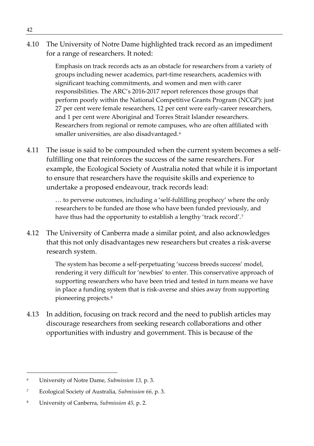4.10 The University of Notre Dame highlighted track record as an impediment for a range of researchers. It noted:

> Emphasis on track records acts as an obstacle for researchers from a variety of groups including newer academics, part-time researchers, academics with significant teaching commitments, and women and men with carer responsibilities. The ARC's 2016-2017 report references those groups that perform poorly within the National Competitive Grants Program (NCGP): just 27 per cent were female researchers, 12 per cent were early-career researchers, and 1 per cent were Aboriginal and Torres Strait Islander researchers. Researchers from regional or remote campuses, who are often affiliated with smaller universities, are also disadvantaged.<sup>[6](#page-63-0)</sup>

4.11 The issue is said to be compounded when the current system becomes a selffulfilling one that reinforces the success of the same researchers. For example, the Ecological Society of Australia noted that while it is important to ensure that researchers have the requisite skills and experience to undertake a proposed endeavour, track records lead:

> … to perverse outcomes, including a 'self-fulfilling prophecy' where the only researchers to be funded are those who have been funded previously, and have thus had the opportunity to establish a lengthy 'track record'.[7](#page-63-1)

4.12 The University of Canberra made a similar point, and also acknowledges that this not only disadvantages new researchers but creates a risk-averse research system.

> The system has become a self-perpetuating 'success breeds success' model, rendering it very difficult for 'newbies' to enter. This conservative approach of supporting researchers who have been tried and tested in turn means we have in place a funding system that is risk-averse and shies away from supporting pioneering projects.[8](#page-63-2)

4.13 In addition, focusing on track record and the need to publish articles may discourage researchers from seeking research collaborations and other opportunities with industry and government. This is because of the

<span id="page-63-0"></span> <sup>6</sup> University of Notre Dame, *Submission 13,* p. 3.

<span id="page-63-1"></span><sup>7</sup> Ecological Society of Australia, *Submission 66,* p. 3.

<span id="page-63-2"></span><sup>8</sup> University of Canberra, *Submission 45,* p. 2.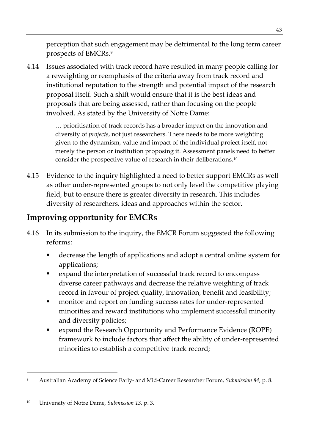perception that such engagement may be detrimental to the long term career prospects of EMCRs.[9](#page-64-0)

4.14 Issues associated with track record have resulted in many people calling for a reweighting or reemphasis of the criteria away from track record and institutional reputation to the strength and potential impact of the research proposal itself. Such a shift would ensure that it is the best ideas and proposals that are being assessed, rather than focusing on the people involved. As stated by the University of Notre Dame:

> … prioritisation of track records has a broader impact on the innovation and diversity of *projects*, not just researchers. There needs to be more weighting given to the dynamism, value and impact of the individual project itself, not merely the person or institution proposing it. Assessment panels need to better consider the prospective value of research in their deliberations.[10](#page-64-1)

4.15 Evidence to the inquiry highlighted a need to better support EMCRs as well as other under-represented groups to not only level the competitive playing field, but to ensure there is greater diversity in research. This includes diversity of researchers, ideas and approaches within the sector.

# **Improving opportunity for EMCRs**

- 4.16 In its submission to the inquiry, the EMCR Forum suggested the following reforms:
	- decrease the length of applications and adopt a central online system for applications;
	- expand the interpretation of successful track record to encompass diverse career pathways and decrease the relative weighting of track record in favour of project quality, innovation, benefit and feasibility;
	- monitor and report on funding success rates for under-represented minorities and reward institutions who implement successful minority and diversity policies;
	- **EXPARED EXPAND THE RESEARCH OPPORTUNITY AND PERFORMANCE EVIDENCE (ROPE)** framework to include factors that affect the ability of under-represented minorities to establish a competitive track record;

<span id="page-64-0"></span> <sup>9</sup> Australian Academy of Science Early- and Mid-Career Researcher Forum, *Submission 84,* p. 8.

<span id="page-64-1"></span><sup>10</sup> University of Notre Dame, *Submission 13,* p. 3.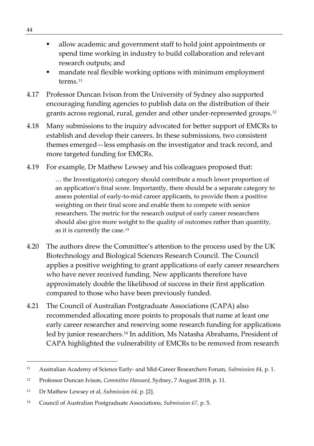- allow academic and government staff to hold joint appointments or spend time working in industry to build collaboration and relevant research outputs; and
- mandate real flexible working options with minimum employment terms.[11](#page-65-0)
- 4.17 Professor Duncan Ivison from the University of Sydney also supported encouraging funding agencies to publish data on the distribution of their grants across regional, rural, gender and other under-represented groups.[12](#page-65-1)
- 4.18 Many submissions to the inquiry advocated for better support of EMCRs to establish and develop their careers. In these submissions, two consistent themes emerged—less emphasis on the investigator and track record, and more targeted funding for EMCRs.
- 4.19 For example, Dr Mathew Lewsey and his colleagues proposed that:

… the Investigator(s) category should contribute a much lower proportion of an application's final score. Importantly, there should be a separate category to assess potential of early-to-mid career applicants, to provide them a positive weighting on their final score and enable them to compete with senior researchers. The metric for the research output of early career researchers should also give more weight to the quality of outcomes rather than quantity, as it is currently the case.[13](#page-65-2)

- 4.20 The authors drew the Committee's attention to the process used by the UK Biotechnology and Biological Sciences Research Council. The Council applies a positive weighting to grant applications of early career researchers who have never received funding. New applicants therefore have approximately double the likelihood of success in their first application compared to those who have been previously funded.
- 4.21 The Council of Australian Postgraduate Associations (CAPA) also recommended allocating more points to proposals that name at least one early career researcher and reserving some research funding for applications led by junior researchers.[14](#page-65-3) In addition, Ms Natasha Abrahams, President of CAPA highlighted the vulnerability of EMCRs to be removed from research

<span id="page-65-0"></span> <sup>11</sup> Australian Academy of Science Early- and Mid-Career Researchers Forum, *Submission 84,* p. 1.

<span id="page-65-1"></span><sup>12</sup> Professor Duncan Ivison, *Committee Hansard,* Sydney, 7 August 2018, p. 11.

<span id="page-65-2"></span><sup>13</sup> Dr Mathew Lewsey et al, *Submission 64,* p. [2].

<span id="page-65-3"></span><sup>14</sup> Council of Australian Postgraduate Associations, *Submission 67,* p. 5.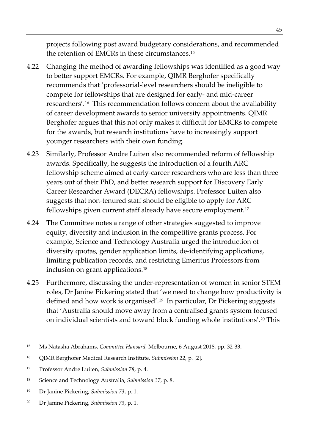projects following post award budgetary considerations, and recommended the retention of EMCRs in these circumstances.[15](#page-66-0)

- 4.22 Changing the method of awarding fellowships was identified as a good way to better support EMCRs. For example, QIMR Berghofer specifically recommends that 'professorial-level researchers should be ineligible to compete for fellowships that are designed for early- and mid-career researchers'.[16](#page-66-1) This recommendation follows concern about the availability of career development awards to senior university appointments. QIMR Berghofer argues that this not only makes it difficult for EMCRs to compete for the awards, but research institutions have to increasingly support younger researchers with their own funding.
- 4.23 Similarly, Professor Andre Luiten also recommended reform of fellowship awards. Specifically, he suggests the introduction of a fourth ARC fellowship scheme aimed at early-career researchers who are less than three years out of their PhD, and better research support for Discovery Early Career Researcher Award (DECRA) fellowships. Professor Luiten also suggests that non-tenured staff should be eligible to apply for ARC fellowships given current staff already have secure employment.[17](#page-66-2)
- 4.24 The Committee notes a range of other strategies suggested to improve equity, diversity and inclusion in the competitive grants process. For example, Science and Technology Australia urged the introduction of diversity quotas, gender application limits, de-identifying applications, limiting publication records, and restricting Emeritus Professors from inclusion on grant applications.[18](#page-66-3)
- 4.25 Furthermore, discussing the under-representation of women in senior STEM roles, Dr Janine Pickering stated that 'we need to change how productivity is defined and how work is organised'.[19](#page-66-4) In particular, Dr Pickering suggests that 'Australia should move away from a centralised grants system focused on individual scientists and toward block funding whole institutions'.[20](#page-66-5) This

<span id="page-66-0"></span> <sup>15</sup> Ms Natasha Abrahams, *Committee Hansard,* Melbourne, 6 August 2018, pp. 32-33.

<span id="page-66-1"></span><sup>16</sup> QIMR Berghofer Medical Research Institute, *Submission 22,* p. [2].

<span id="page-66-2"></span><sup>17</sup> Professor Andre Luiten, *Submission 78,* p. 4.

<span id="page-66-3"></span><sup>18</sup> Science and Technology Australia, *Submission 37,* p. 8.

<span id="page-66-4"></span><sup>19</sup> Dr Janine Pickering, *Submission 73*, p. 1.

<span id="page-66-5"></span><sup>20</sup> Dr Janine Pickering, *Submission 73*, p. 1.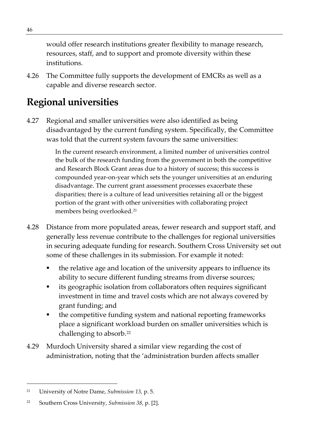would offer research institutions greater flexibility to manage research, resources, staff, and to support and promote diversity within these institutions.

4.26 The Committee fully supports the development of EMCRs as well as a capable and diverse research sector.

# **Regional universities**

4.27 Regional and smaller universities were also identified as being disadvantaged by the current funding system. Specifically, the Committee was told that the current system favours the same universities:

> In the current research environment, a limited number of universities control the bulk of the research funding from the government in both the competitive and Research Block Grant areas due to a history of success; this success is compounded year-on-year which sets the younger universities at an enduring disadvantage. The current grant assessment processes exacerbate these disparities; there is a culture of lead universities retaining all or the biggest portion of the grant with other universities with collaborating project members being overlooked.[21](#page-67-0)

- 4.28 Distance from more populated areas, fewer research and support staff, and generally less revenue contribute to the challenges for regional universities in securing adequate funding for research. Southern Cross University set out some of these challenges in its submission. For example it noted:
	- the relative age and location of the university appears to influence its ability to secure different funding streams from diverse sources;
	- **i** its geographic isolation from collaborators often requires significant investment in time and travel costs which are not always covered by grant funding; and
	- the competitive funding system and national reporting frameworks place a significant workload burden on smaller universities which is challenging to absorb.<sup>[22](#page-67-1)</sup>
- 4.29 Murdoch University shared a similar view regarding the cost of administration, noting that the 'administration burden affects smaller

<span id="page-67-0"></span> <sup>21</sup> University of Notre Dame, *Submission 13,* p. 5.

<span id="page-67-1"></span><sup>22</sup> Southern Cross University, *Submission 38,* p. [2].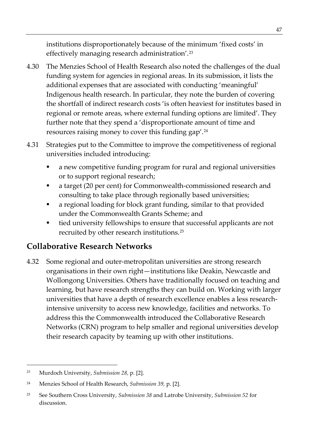institutions disproportionately because of the minimum 'fixed costs' in effectively managing research administration'.[23](#page-68-0)

- 4.30 The Menzies School of Health Research also noted the challenges of the dual funding system for agencies in regional areas. In its submission, it lists the additional expenses that are associated with conducting 'meaningful' Indigenous health research. In particular, they note the burden of covering the shortfall of indirect research costs 'is often heaviest for institutes based in regional or remote areas, where external funding options are limited'. They further note that they spend a 'disproportionate amount of time and resources raising money to cover this funding gap'.[24](#page-68-1)
- 4.31 Strategies put to the Committee to improve the competitiveness of regional universities included introducing:
	- a new competitive funding program for rural and regional universities or to support regional research;
	- a target (20 per cent) for Commonwealth-commissioned research and consulting to take place through regionally based universities;
	- a regional loading for block grant funding, similar to that provided under the Commonwealth Grants Scheme; and
	- tied university fellowships to ensure that successful applicants are not recruited by other research institutions.[25](#page-68-2)

## **Collaborative Research Networks**

4.32 Some regional and outer-metropolitan universities are strong research organisations in their own right—institutions like Deakin, Newcastle and Wollongong Universities. Others have traditionally focused on teaching and learning, but have research strengths they can build on. Working with larger universities that have a depth of research excellence enables a less researchintensive university to access new knowledge, facilities and networks. To address this the Commonwealth introduced the Collaborative Research Networks (CRN) program to help smaller and regional universities develop their research capacity by teaming up with other institutions.

<span id="page-68-0"></span> <sup>23</sup> Murdoch University, *Submission 28,* p. [2].

<span id="page-68-1"></span><sup>24</sup> Menzies School of Health Research, *Submission 39,* p. [2].

<span id="page-68-2"></span><sup>25</sup> See Southern Cross University, *Submission 38* and Latrobe University, *Submission 52* for discussion.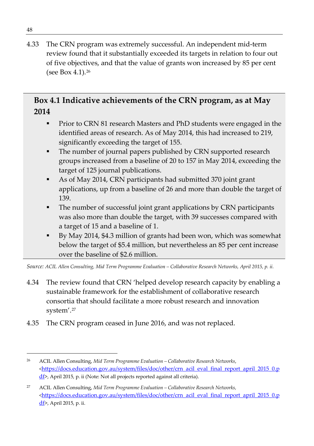4.33 The CRN program was extremely successful. An independent mid-term review found that it substantially exceeded its targets in relation to four out of five objectives, and that the value of grants won increased by 85 per cent (see Box 4.1).[26](#page-69-0)

## **Box 4.1 Indicative achievements of the CRN program, as at May 2014**

- **Prior to CRN 81 research Masters and PhD students were engaged in the** identified areas of research. As of May 2014, this had increased to 219, significantly exceeding the target of 155.
- The number of journal papers published by CRN supported research groups increased from a baseline of 20 to 157 in May 2014, exceeding the target of 125 journal publications.
- As of May 2014, CRN participants had submitted 370 joint grant applications, up from a baseline of 26 and more than double the target of 139.
- The number of successful joint grant applications by CRN participants was also more than double the target, with 39 successes compared with a target of 15 and a baseline of 1.
- By May 2014, \$4.3 million of grants had been won, which was somewhat below the target of \$5.4 million, but nevertheless an 85 per cent increase over the baseline of \$2.6 million.

*Source: ACIL Allen Consulting, Mid Term Programme Evaluation – Collaborative Research Networks, April 2015, p. ii.*

- 4.34 The review found that CRN 'helped develop research capacity by enabling a sustainable framework for the establishment of collaborative research consortia that should facilitate a more robust research and innovation system'.[27](#page-69-1)
- 4.35 The CRN program ceased in June 2016, and was not replaced.

<span id="page-69-0"></span> <sup>26</sup> ACIL Allen Consulting, *Mid Term Programme Evaluation – Collaborative Research Networks*, [<https://docs.education.gov.au/system/files/doc/other/crn\\_acil\\_eval\\_final\\_report\\_april\\_2015\\_0.p](https://docs.education.gov.au/system/files/doc/other/crn_acil_eval_final_report_april_2015_0.pdf) [df>](https://docs.education.gov.au/system/files/doc/other/crn_acil_eval_final_report_april_2015_0.pdf), April 2015, p. ii (Note: Not all projects reported against all criteria).

<span id="page-69-1"></span><sup>27</sup> ACIL Allen Consulting, *Mid Term Programme Evaluation – Collaborative Research Networks,*  [<https://docs.education.gov.au/system/files/doc/other/crn\\_acil\\_eval\\_final\\_report\\_april\\_2015\\_0.p](https://docs.education.gov.au/system/files/doc/other/crn_acil_eval_final_report_april_2015_0.pdf) [df>](https://docs.education.gov.au/system/files/doc/other/crn_acil_eval_final_report_april_2015_0.pdf), April 2015, p. ii.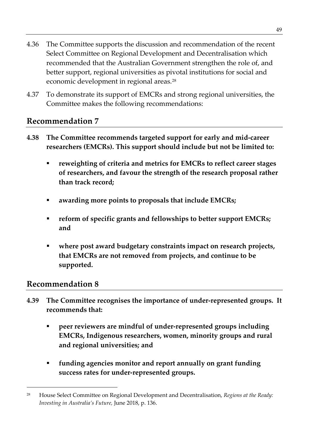- 4.36 The Committee supports the discussion and recommendation of the recent Select Committee on Regional Development and Decentralisation which recommended that the Australian Government strengthen the role of, and better support, regional universities as pivotal institutions for social and economic development in regional areas.<sup>[28](#page-70-0)</sup>
- 4.37 To demonstrate its support of EMCRs and strong regional universities, the Committee makes the following recommendations:

#### **Recommendation 7**

- **4.38 The Committee recommends targeted support for early and mid-career researchers (EMCRs). This support should include but not be limited to:**
	- **reweighting of criteria and metrics for EMCRs to reflect career stages of researchers, and favour the strength of the research proposal rather than track record;**
	- **awarding more points to proposals that include EMCRs;**
	- **reform of specific grants and fellowships to better support EMCRs; and**
	- **where post award budgetary constraints impact on research projects, that EMCRs are not removed from projects, and continue to be supported.**

### **Recommendation 8**

- **4.39 The Committee recognises the importance of under-represented groups. It recommends that:**
	- **peer reviewers are mindful of under-represented groups including EMCRs, Indigenous researchers, women, minority groups and rural and regional universities; and**
	- **funding agencies monitor and report annually on grant funding success rates for under-represented groups.**

<span id="page-70-0"></span> <sup>28</sup> House Select Committee on Regional Development and Decentralisation, *Regions at the Ready: Investing in Australia's Future,* June 2018, p. 136.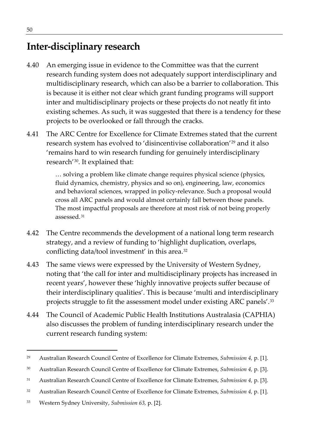# **Inter-disciplinary research**

- 4.40 An emerging issue in evidence to the Committee was that the current research funding system does not adequately support interdisciplinary and multidisciplinary research, which can also be a barrier to collaboration. This is because it is either not clear which grant funding programs will support inter and multidisciplinary projects or these projects do not neatly fit into existing schemes. As such, it was suggested that there is a tendency for these projects to be overlooked or fall through the cracks.
- 4.41 The ARC Centre for Excellence for Climate Extremes stated that the current research system has evolved to 'disincentivise collaboration['29](#page-71-0) and it also 'remains hard to win research funding for genuinely interdisciplinary research'[30](#page-71-1). It explained that:

… solving a problem like climate change requires physical science (physics, fluid dynamics, chemistry, physics and so on), engineering, law, economics and behavioral sciences, wrapped in policy-relevance. Such a proposal would cross all ARC panels and would almost certainly fall between those panels. The most impactful proposals are therefore at most risk of not being properly assessed.[31](#page-71-2)

- 4.42 The Centre recommends the development of a national long term research strategy, and a review of funding to 'highlight duplication, overlaps, conflicting data/tool investment' in this area.<sup>[32](#page-71-3)</sup>
- 4.43 The same views were expressed by the University of Western Sydney, noting that 'the call for inter and multidisciplinary projects has increased in recent years', however these 'highly innovative projects suffer because of their interdisciplinary qualities'. This is because 'multi and interdisciplinary projects struggle to fit the assessment model under existing ARC panels'.<sup>[33](#page-71-4)</sup>
- 4.44 The Council of Academic Public Health Institutions Australasia (CAPHIA) also discusses the problem of funding interdisciplinary research under the current research funding system:

<span id="page-71-0"></span> <sup>29</sup> Australian Research Council Centre of Excellence for Climate Extremes, *Submission 4,* p. [1].

<span id="page-71-1"></span><sup>30</sup> Australian Research Council Centre of Excellence for Climate Extremes, *Submission 4,* p. [3].

<span id="page-71-2"></span><sup>31</sup> Australian Research Council Centre of Excellence for Climate Extremes, *Submission 4,* p. [3].

<span id="page-71-3"></span><sup>32</sup> Australian Research Council Centre of Excellence for Climate Extremes, *Submission 4,* p. [1].

<span id="page-71-4"></span><sup>33</sup> Western Sydney University, *Submission 63,* p. [2].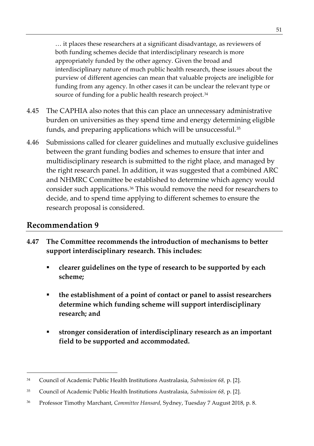… it places these researchers at a significant disadvantage, as reviewers of both funding schemes decide that interdisciplinary research is more appropriately funded by the other agency. Given the broad and interdisciplinary nature of much public health research, these issues about the purview of different agencies can mean that valuable projects are ineligible for funding from any agency. In other cases it can be unclear the relevant type or source of funding for a public health research project.<sup>[34](#page-72-0)</sup>

- 4.45 The CAPHIA also notes that this can place an unnecessary administrative burden on universities as they spend time and energy determining eligible funds, and preparing applications which will be unsuccessful.<sup>[35](#page-72-1)</sup>
- 4.46 Submissions called for clearer guidelines and mutually exclusive guidelines between the grant funding bodies and schemes to ensure that inter and multidisciplinary research is submitted to the right place, and managed by the right research panel. In addition, it was suggested that a combined ARC and NHMRC Committee be established to determine which agency would consider such applications.[36](#page-72-2) This would remove the need for researchers to decide, and to spend time applying to different schemes to ensure the research proposal is considered.

#### **Recommendation 9**

- **4.47 The Committee recommends the introduction of mechanisms to better support interdisciplinary research. This includes:**
	- **clearer guidelines on the type of research to be supported by each scheme;**
	- **the establishment of a point of contact or panel to assist researchers determine which funding scheme will support interdisciplinary research; and**
	- **stronger consideration of interdisciplinary research as an important field to be supported and accommodated.**

<span id="page-72-0"></span> <sup>34</sup> Council of Academic Public Health Institutions Australasia, *Submission 68,* p. [2].

<span id="page-72-1"></span><sup>35</sup> Council of Academic Public Health Institutions Australasia, *Submission 68,* p. [2].

<span id="page-72-2"></span><sup>36</sup> Professor Timothy Marchant, *Committee Hansard,* Sydney, Tuesday 7 August 2018, p. 8.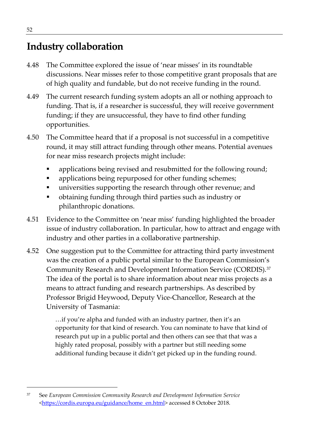# **Industry collaboration**

- 4.48 The Committee explored the issue of 'near misses' in its roundtable discussions. Near misses refer to those competitive grant proposals that are of high quality and fundable, but do not receive funding in the round.
- 4.49 The current research funding system adopts an all or nothing approach to funding. That is, if a researcher is successful, they will receive government funding; if they are unsuccessful, they have to find other funding opportunities.
- 4.50 The Committee heard that if a proposal is not successful in a competitive round, it may still attract funding through other means. Potential avenues for near miss research projects might include:
	- applications being revised and resubmitted for the following round;
	- applications being repurposed for other funding schemes;
	- universities supporting the research through other revenue; and
	- obtaining funding through third parties such as industry or philanthropic donations.
- 4.51 Evidence to the Committee on 'near miss' funding highlighted the broader issue of industry collaboration. In particular, how to attract and engage with industry and other parties in a collaborative partnership.
- 4.52 One suggestion put to the Committee for attracting third party investment was the creation of a public portal similar to the European Commission's Community Research and Development Information Service (CORDIS).[37](#page-73-0) The idea of the portal is to share information about near miss projects as a means to attract funding and research partnerships. As described by Professor Brigid Heywood, Deputy Vice-Chancellor, Research at the University of Tasmania:

…if you're alpha and funded with an industry partner, then it's an opportunity for that kind of research. You can nominate to have that kind of research put up in a public portal and then others can see that that was a highly rated proposal, possibly with a partner but still needing some additional funding because it didn't get picked up in the funding round.

<span id="page-73-0"></span> <sup>37</sup> See *European Commission Community Research and Development Information Service* [<https://cordis.europa.eu/guidance/home\\_en.html>](https://cordis.europa.eu/guidance/home_en.html) accessed 8 October 2018.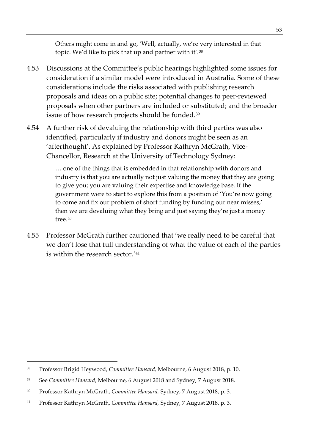Others might come in and go, 'Well, actually, we're very interested in that topic. We'd like to pick that up and partner with it'.[38](#page-74-0)

- 4.53 Discussions at the Committee's public hearings highlighted some issues for consideration if a similar model were introduced in Australia. Some of these considerations include the risks associated with publishing research proposals and ideas on a public site; potential changes to peer-reviewed proposals when other partners are included or substituted; and the broader issue of how research projects should be funded.<sup>[39](#page-74-1)</sup>
- 4.54 A further risk of devaluing the relationship with third parties was also identified, particularly if industry and donors might be seen as an 'afterthought'. As explained by Professor Kathryn McGrath, Vice-Chancellor, Research at the University of Technology Sydney:

… one of the things that is embedded in that relationship with donors and industry is that you are actually not just valuing the money that they are going to give you; you are valuing their expertise and knowledge base. If the government were to start to explore this from a position of 'You're now going to come and fix our problem of short funding by funding our near misses,' then we are devaluing what they bring and just saying they're just a money tree.[40](#page-74-2)

4.55 Professor McGrath further cautioned that 'we really need to be careful that we don't lose that full understanding of what the value of each of the parties is within the research sector.'[41](#page-74-3)

<span id="page-74-0"></span> <sup>38</sup> Professor Brigid Heywood, *Committee Hansard,* Melbourne, 6 August 2018, p. 10.

<span id="page-74-1"></span><sup>39</sup> See *Committee Hansard*, Melbourne, 6 August 2018 and Sydney, 7 August 2018.

<span id="page-74-2"></span><sup>40</sup> Professor Kathryn McGrath, *Committee Hansard,* Sydney, 7 August 2018, p. 3.

<span id="page-74-3"></span><sup>41</sup> Professor Kathryn McGrath, *Committee Hansard,* Sydney, 7 August 2018, p. 3.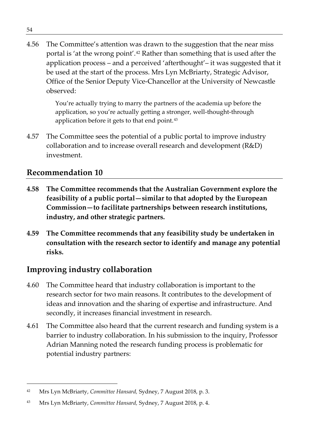4.56 The Committee's attention was drawn to the suggestion that the near miss portal is 'at the wrong point'.[42](#page-75-0) Rather than something that is used after the application process – and a perceived 'afterthought'– it was suggested that it be used at the start of the process. Mrs Lyn McBriarty, Strategic Advisor, Office of the Senior Deputy Vice-Chancellor at the University of Newcastle observed:

> You're actually trying to marry the partners of the academia up before the application, so you're actually getting a stronger, well-thought-through application before it gets to that end point.<sup>[43](#page-75-1)</sup>

4.57 The Committee sees the potential of a public portal to improve industry collaboration and to increase overall research and development (R&D) investment.

## **Recommendation 10**

- **4.58 The Committee recommends that the Australian Government explore the feasibility of a public portal—similar to that adopted by the European Commission—to facilitate partnerships between research institutions, industry, and other strategic partners.**
- **4.59 The Committee recommends that any feasibility study be undertaken in consultation with the research sector to identify and manage any potential risks.**

## **Improving industry collaboration**

- 4.60 The Committee heard that industry collaboration is important to the research sector for two main reasons. It contributes to the development of ideas and innovation and the sharing of expertise and infrastructure. And secondly, it increases financial investment in research.
- 4.61 The Committee also heard that the current research and funding system is a barrier to industry collaboration. In his submission to the inquiry, Professor Adrian Manning noted the research funding process is problematic for potential industry partners:

<span id="page-75-0"></span> <sup>42</sup> Mrs Lyn McBriarty, *Committee Hansard,* Sydney, 7 August 2018, p. 3.

<span id="page-75-1"></span><sup>43</sup> Mrs Lyn McBriarty, *Committee Hansard,* Sydney, 7 August 2018, p. 4.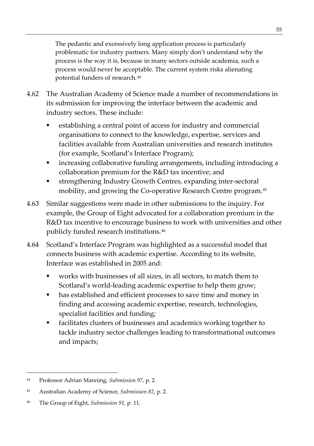The pedantic and excessively long application process is particularly problematic for industry partners. Many simply don't understand why the process is the way it is, because in many sectors outside academia, such a process would never be acceptable. The current system risks alienating potential funders of research.[44](#page-76-0)

- 4.62 The Australian Academy of Science made a number of recommendations in its submission for improving the interface between the academic and industry sectors. These include:
	- establishing a central point of access for industry and commercial organisations to connect to the knowledge, expertise, services and facilities available from Australian universities and research institutes (for example, Scotland's Interface Program);
	- increasing collaborative funding arrangements, including introducing a collaboration premium for the R&D tax incentive; and
	- strengthening Industry Growth Centres, expanding inter-sectoral mobility, and growing the Co-operative Research Centre program.[45](#page-76-1)
- 4.63 Similar suggestions were made in other submissions to the inquiry. For example, the Group of Eight advocated for a collaboration premium in the R&D tax incentive to encourage business to work with universities and other publicly funded research institutions.[46](#page-76-2)
- 4.64 Scotland's Interface Program was highlighted as a successful model that connects business with academic expertise. According to its website, Interface was established in 2005 and:
	- works with businesses of all sizes, in all sectors, to match them to Scotland's world-leading academic expertise to help them grow;
	- has established and efficient processes to save time and money in finding and accessing academic expertise, research, technologies, specialist facilities and funding;
	- facilitates clusters of businesses and academics working together to tackle industry sector challenges leading to transformational outcomes and impacts;

<span id="page-76-0"></span> <sup>44</sup> Professor Adrian Manning, *Submission 97,* p. 2.

<span id="page-76-1"></span><sup>45</sup> Australian Academy of Science, *Submission 82,* p. 2.

<span id="page-76-2"></span><sup>46</sup> The Group of Eight, *Submission 91,* p. 11.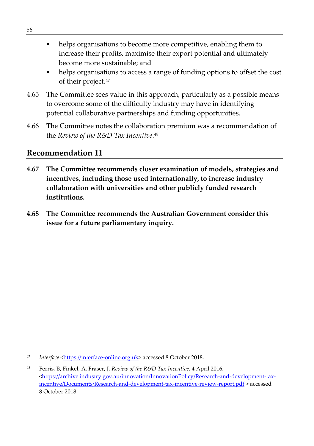- helps organisations to become more competitive, enabling them to increase their profits, maximise their export potential and ultimately become more sustainable; and
- helps organisations to access a range of funding options to offset the cost of their project.[47](#page-77-0)
- 4.65 The Committee sees value in this approach, particularly as a possible means to overcome some of the difficulty industry may have in identifying potential collaborative partnerships and funding opportunities.
- 4.66 The Committee notes the collaboration premium was a recommendation of the *Review of the R&D Tax Incentive*.[48](#page-77-1)

#### **Recommendation 11**

- **4.67 The Committee recommends closer examination of models, strategies and incentives, including those used internationally, to increase industry collaboration with universities and other publicly funded research institutions.**
- **4.68 The Committee recommends the Australian Government consider this issue for a future parliamentary inquiry.**

<span id="page-77-0"></span><sup>47</sup> *Interface* [<https://interface-online.org.uk>](https://interface-online.org.uk/) accessed 8 October 2018.

<span id="page-77-1"></span><sup>48</sup> Ferris, B, Finkel, A, Fraser, J, *Review of the R&D Tax Incentive,* 4 April 2016. [<https://archive.industry.gov.au/innovation/InnovationPolicy/Research-and-development-tax](https://archive.industry.gov.au/innovation/InnovationPolicy/Research-and-development-tax-incentive/Documents/Research-and-development-tax-incentive-review-report.pdf)[incentive/Documents/Research-and-development-tax-incentive-review-report.pdf](https://archive.industry.gov.au/innovation/InnovationPolicy/Research-and-development-tax-incentive/Documents/Research-and-development-tax-incentive-review-report.pdf) > accessed 8 October 2018.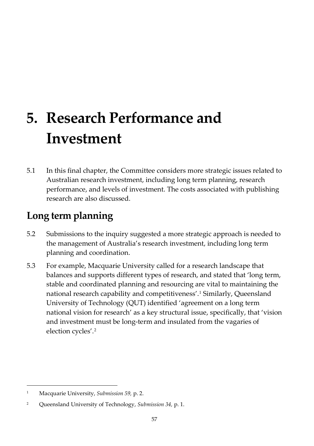# **5. Research Performance and Investment**

5.1 In this final chapter, the Committee considers more strategic issues related to Australian research investment, including long term planning, research performance, and levels of investment. The costs associated with publishing research are also discussed.

# **Long term planning**

- 5.2 Submissions to the inquiry suggested a more strategic approach is needed to the management of Australia's research investment, including long term planning and coordination.
- 5.3 For example, Macquarie University called for a research landscape that balances and supports different types of research, and stated that 'long term, stable and coordinated planning and resourcing are vital to maintaining the national research capability and competitiveness'.[1](#page-78-0) Similarly, Queensland University of Technology (QUT) identified 'agreement on a long term national vision for research' as a key structural issue, specifically, that 'vision and investment must be long-term and insulated from the vagaries of election cycles'.[2](#page-78-1)

<span id="page-78-0"></span> <sup>1</sup> Macquarie University, *Submission 59,* p. 2.

<span id="page-78-1"></span><sup>2</sup> Queensland University of Technology, *Submission 34,* p. 1.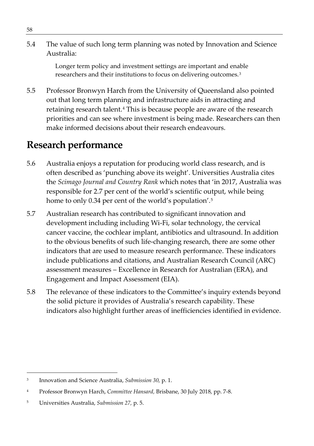5.4 The value of such long term planning was noted by Innovation and Science Australia:

> Longer term policy and investment settings are important and enable researchers and their institutions to focus on delivering outcomes.[3](#page-79-0)

5.5 Professor Bronwyn Harch from the University of Queensland also pointed out that long term planning and infrastructure aids in attracting and retaining research talent.<sup>[4](#page-79-1)</sup> This is because people are aware of the research priorities and can see where investment is being made. Researchers can then make informed decisions about their research endeavours.

# **Research performance**

- 5.6 Australia enjoys a reputation for producing world class research, and is often described as 'punching above its weight'. Universities Australia cites the *Scimago Journal and Country Rank* which notes that 'in 2017, Australia was responsible for 2.7 per cent of the world's scientific output, while being home to only 0.34 per cent of the world's population'.<sup>[5](#page-79-2)</sup>
- 5.7 Australian research has contributed to significant innovation and development including including Wi-Fi, solar technology, the cervical cancer vaccine, the cochlear implant, antibiotics and ultrasound. In addition to the obvious benefits of such life-changing research, there are some other indicators that are used to measure research performance. These indicators include publications and citations, and Australian Research Council (ARC) assessment measures – Excellence in Research for Australian (ERA), and Engagement and Impact Assessment (EIA).
- 5.8 The relevance of these indicators to the Committee's inquiry extends beyond the solid picture it provides of Australia's research capability. These indicators also highlight further areas of inefficiencies identified in evidence.

<span id="page-79-0"></span> <sup>3</sup> Innovation and Science Australia, *Submission 30,* p. 1.

<span id="page-79-1"></span><sup>4</sup> Professor Bronwyn Harch, *Committee Hansard,* Brisbane, 30 July 2018, pp. 7-8.

<span id="page-79-2"></span><sup>5</sup> Universities Australia, *Submission 27,* p. 5.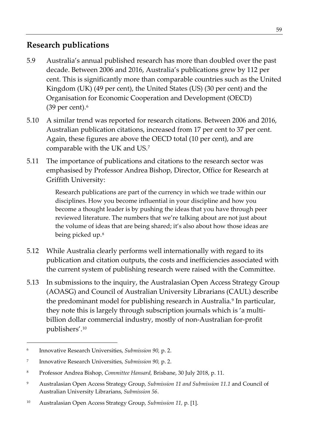## **Research publications**

- 5.9 Australia's annual published research has more than doubled over the past decade. Between 2006 and 2016, Australia's publications grew by 112 per cent. This is significantly more than comparable countries such as the United Kingdom (UK) (49 per cent), the United States (US) (30 per cent) and the Organisation for Economic Cooperation and Development (OECD)  $(39$  per cent).<sup>[6](#page-80-0)</sup>
- 5.10 A similar trend was reported for research citations. Between 2006 and 2016, Australian publication citations, increased from 17 per cent to 37 per cent. Again, these figures are above the OECD total (10 per cent), and are comparable with the UK and US.[7](#page-80-1)
- 5.11 The importance of publications and citations to the research sector was emphasised by Professor Andrea Bishop, Director, Office for Research at Griffith University:

Research publications are part of the currency in which we trade within our disciplines. How you become influential in your discipline and how you become a thought leader is by pushing the ideas that you have through peer reviewed literature. The numbers that we're talking about are not just about the volume of ideas that are being shared; it's also about how those ideas are being picked up.[8](#page-80-2)

- 5.12 While Australia clearly performs well internationally with regard to its publication and citation outputs, the costs and inefficiencies associated with the current system of publishing research were raised with the Committee.
- 5.13 In submissions to the inquiry, the Australasian Open Access Strategy Group (AOASG) and Council of Australian University Librarians (CAUL) describe the predominant model for publishing research in Australia.[9](#page-80-3) In particular, they note this is largely through subscription journals which is 'a multibillion dollar commercial industry, mostly of non-Australian for-profit publishers'.[10](#page-80-4)

<span id="page-80-0"></span> <sup>6</sup> Innovative Research Universities, *Submission 90,* p. 2.

<span id="page-80-1"></span><sup>7</sup> Innovative Research Universities, *Submission 90,* p. 2.

<span id="page-80-2"></span><sup>8</sup> Professor Andrea Bishop, *Committee Hansard,* Brisbane, 30 July 2018, p. 11.

<span id="page-80-3"></span><sup>9</sup> Australasian Open Access Strategy Group, *Submission 11 and Submission 11.1* and Council of Australian University Librarians, *Submission 56*.

<span id="page-80-4"></span><sup>10</sup> Australasian Open Access Strategy Group, *Submission 11,* p. [1].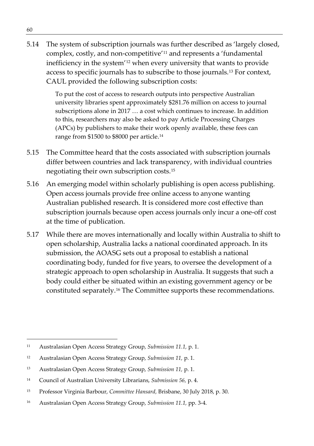5.14 The system of subscription journals was further described as 'largely closed, complex, costly, and non-competitive['11](#page-81-0) and represents a 'fundamental inefficiency in the system'[12](#page-81-1) when every university that wants to provide access to specific journals has to subscribe to those journals.[13](#page-81-2) For context, CAUL provided the following subscription costs:

> To put the cost of access to research outputs into perspective Australian university libraries spent approximately \$281.76 million on access to journal subscriptions alone in 2017 … a cost which continues to increase. In addition to this, researchers may also be asked to pay Article Processing Charges (APCs) by publishers to make their work openly available, these fees can range from \$1500 to \$8000 per article.[14](#page-81-3)

- 5.15 The Committee heard that the costs associated with subscription journals differ between countries and lack transparency, with individual countries negotiating their own subscription costs.[15](#page-81-4)
- 5.16 An emerging model within scholarly publishing is open access publishing. Open access journals provide free online access to anyone wanting Australian published research. It is considered more cost effective than subscription journals because open access journals only incur a one-off cost at the time of publication.
- 5.17 While there are moves internationally and locally within Australia to shift to open scholarship, Australia lacks a national coordinated approach. In its submission, the AOASG sets out a proposal to establish a national coordinating body, funded for five years, to oversee the development of a strategic approach to open scholarship in Australia. It suggests that such a body could either be situated within an existing government agency or be constituted separately.[16](#page-81-5) The Committee supports these recommendations.

<span id="page-81-0"></span> <sup>11</sup> Australasian Open Access Strategy Group, *Submission 11.1,* p. 1.

<span id="page-81-1"></span><sup>12</sup> Australasian Open Access Strategy Group, *Submission 11,* p. 1.

<span id="page-81-2"></span><sup>13</sup> Australasian Open Access Strategy Group, *Submission 11,* p. 1.

<span id="page-81-3"></span><sup>14</sup> Council of Australian University Librarians, *Submission 56,* p. 4.

<span id="page-81-4"></span><sup>15</sup> Professor Virginia Barbour, *Committee Hansard,* Brisbane, 30 July 2018, p. 30.

<span id="page-81-5"></span><sup>16</sup> Australasian Open Access Strategy Group, *Submission 11.1,* pp. 3-4.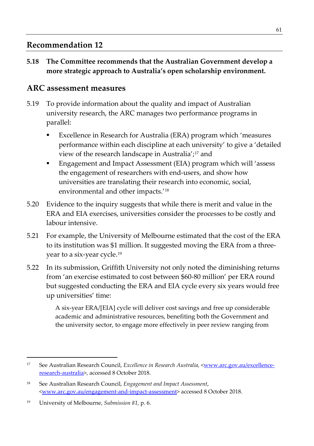#### **Recommendation 12**

**5.18 The Committee recommends that the Australian Government develop a more strategic approach to Australia's open scholarship environment.**

#### **ARC assessment measures**

- 5.19 To provide information about the quality and impact of Australian university research, the ARC manages two performance programs in parallel:
	- Excellence in Research for Australia (ERA) program which 'measures performance within each discipline at each university' to give a 'detailed view of the research landscape in Australia';[17](#page-82-0) and
	- Engagement and Impact Assessment (EIA) program which will 'assess the engagement of researchers with end-users, and show how universities are translating their research into economic, social, environmental and other impacts.'[18](#page-82-1)
- 5.20 Evidence to the inquiry suggests that while there is merit and value in the ERA and EIA exercises, universities consider the processes to be costly and labour intensive.
- 5.21 For example, the University of Melbourne estimated that the cost of the ERA to its institution was \$1 million. It suggested moving the ERA from a threeyear to a six-year cycle.[19](#page-82-2)
- 5.22 In its submission, Griffith University not only noted the diminishing returns from 'an exercise estimated to cost between \$60-80 million' per ERA round but suggested conducting the ERA and EIA cycle every six years would free up universities' time:

A six-year ERA/[EIA] cycle will deliver cost savings and free up considerable academic and administrative resources, benefiting both the Government and the university sector, to engage more effectively in peer review ranging from

<span id="page-82-0"></span><sup>&</sup>lt;sup>17</sup> See Australian Research Council, *Excellence in Research Australia*, [<www.arc.gov.au/excellence](http://www.arc.gov.au/excellence-research-australia)[research-australia>](http://www.arc.gov.au/excellence-research-australia), accessed 8 October 2018.

<span id="page-82-1"></span><sup>18</sup> See Australian Research Council, *Engagement and Impact Assessment*, [<www.arc.gov.au/engagement-and-impact-assessment>](http://www.arc.gov.au/engagement-and-impact-assessment) accessed 8 October 2018.

<span id="page-82-2"></span><sup>19</sup> University of Melbourne, *Submission 81,* p. 6.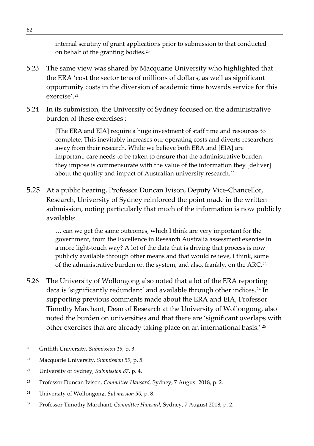internal scrutiny of grant applications prior to submission to that conducted on behalf of the granting bodies.[20](#page-83-0)

- 5.23 The same view was shared by Macquarie University who highlighted that the ERA 'cost the sector tens of millions of dollars, as well as significant opportunity costs in the diversion of academic time towards service for this exercise<sup>' [21](#page-83-1)</sup>
- 5.24 In its submission, the University of Sydney focused on the administrative burden of these exercises :

[The ERA and EIA] require a huge investment of staff time and resources to complete. This inevitably increases our operating costs and diverts researchers away from their research. While we believe both ERA and [EIA] are important, care needs to be taken to ensure that the administrative burden they impose is commensurate with the value of the information they [deliver] about the quality and impact of Australian university research.<sup>[22](#page-83-2)</sup>

5.25 At a public hearing, Professor Duncan Ivison, Deputy Vice-Chancellor, Research, University of Sydney reinforced the point made in the written submission, noting particularly that much of the information is now publicly available:

> … can we get the same outcomes, which I think are very important for the government, from the Excellence in Research Australia assessment exercise in a more light-touch way? A lot of the data that is driving that process is now publicly available through other means and that would relieve, I think, some of the administrative burden on the system, and also, frankly, on the ARC.[23](#page-83-3)

5.26 The University of Wollongong also noted that a lot of the ERA reporting data is 'significantly redundant' and available through other indices.<sup>[24](#page-83-4)</sup> In supporting previous comments made about the ERA and EIA, Professor Timothy Marchant, Dean of Research at the University of Wollongong, also noted the burden on universities and that there are 'significant overlaps with other exercises that are already taking place on an international basis.' [25](#page-83-5)

<span id="page-83-0"></span> <sup>20</sup> Griffith University, *Submission 19,* p. 3.

<span id="page-83-1"></span><sup>21</sup> Macquarie University, *Submission 59,* p. 5.

<span id="page-83-2"></span><sup>22</sup> University of Sydney, *Submission 87,* p. 4.

<span id="page-83-3"></span><sup>23</sup> Professor Duncan Ivison, *Committee Hansard,* Sydney, 7 August 2018, p. 2.

<span id="page-83-4"></span><sup>24</sup> University of Wollongong, *Submission 50,* p. 8.

<span id="page-83-5"></span><sup>25</sup> Professor Timothy Marchant, *Committee Hansard,* Sydney, 7 August 2018, p. 2.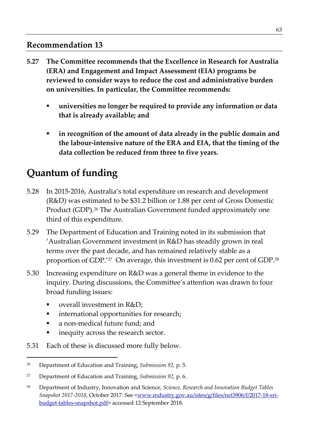#### **Recommendation 13**

- **5.27 The Committee recommends that the Excellence in Research for Australia (ERA) and Engagement and Impact Assessment (EIA) programs be reviewed to consider ways to reduce the cost and administrative burden on universities. In particular, the Committee recommends:** 
	- **universities no longer be required to provide any information or data that is already available; and**
	- **in recognition of the amount of data already in the public domain and the labour-intensive nature of the ERA and EIA, that the timing of the data collection be reduced from three to five years.**

# **Quantum of funding**

- 5.28 In 2015-2016, Australia's total expenditure on research and development (R&D) was estimated to be \$31.2 billion or 1.88 per cent of Gross Domestic Product (GDP).<sup>26</sup> The Australian Government funded approximately one third of this expenditure.
- 5.29 The Department of Education and Training noted in its submission that 'Australian Government investment in R&D has steadily grown in real terms over the past decade, and has remained relatively stable as a proportion of GDP.'<sup>[27](#page-84-1)</sup> On average, this investment is 0.62 per cent of GDP.<sup>[28](#page-84-2)</sup>
- 5.30 Increasing expenditure on R&D was a general theme in evidence to the inquiry. During discussions, the Committee's attention was drawn to four broad funding issues:
	- overall investment in R&D;
	- **·** international opportunities for research;
	- a non-medical future fund; and
	- inequity across the research sector.
- 5.31 Each of these is discussed more fully below.

<span id="page-84-0"></span> <sup>26</sup> Department of Education and Training, *Submission 92,* p. 5.

<span id="page-84-1"></span><sup>27</sup> Department of Education and Training, *Submission 92,* p. 6.

<span id="page-84-2"></span><sup>28</sup> Department of Industry, Innovation and Science, *Science, Research and Innovation Budget Tables*  Snapshot 2017-2018, October 2017. See [<www.industry.gov.au/sites/g/files/net3906/f/2017-18-sri](http://www.industry.gov.au/sites/g/files/net3906/f/2017-18-sri-budget-tables-snapshot.pdf)[budget-tables-snapshot.pdf>](http://www.industry.gov.au/sites/g/files/net3906/f/2017-18-sri-budget-tables-snapshot.pdf) accessed 12 September 2018.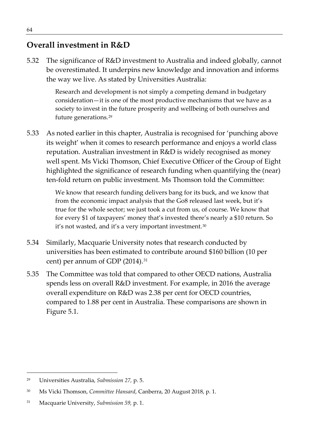### **Overall investment in R&D**

5.32 The significance of R&D investment to Australia and indeed globally, cannot be overestimated. It underpins new knowledge and innovation and informs the way we live. As stated by Universities Australia:

> Research and development is not simply a competing demand in budgetary consideration—it is one of the most productive mechanisms that we have as a society to invest in the future prosperity and wellbeing of both ourselves and future generations.[29](#page-85-0)

5.33 As noted earlier in this chapter, Australia is recognised for 'punching above its weight' when it comes to research performance and enjoys a world class reputation. Australian investment in R&D is widely recognised as money well spent. Ms Vicki Thomson, Chief Executive Officer of the Group of Eight highlighted the significance of research funding when quantifying the (near) ten-fold return on public investment. Ms Thomson told the Committee:

> We know that research funding delivers bang for its buck, and we know that from the economic impact analysis that the Go8 released last week, but it's true for the whole sector; we just took a cut from us, of course. We know that for every \$1 of taxpayers' money that's invested there's nearly a \$10 return. So it's not wasted, and it's a very important investment.[30](#page-85-1)

- 5.34 Similarly, Macquarie University notes that research conducted by universities has been estimated to contribute around \$160 billion (10 per cent) per annum of GDP (2014).<sup>[31](#page-85-2)</sup>
- 5.35 The Committee was told that compared to other OECD nations, Australia spends less on overall R&D investment. For example, in 2016 the average overall expenditure on R&D was 2.38 per cent for OECD countries, compared to 1.88 per cent in Australia. These comparisons are shown in Figure 5.1.

<span id="page-85-0"></span> <sup>29</sup> Universities Australia, *Submission 27,* p. 5.

<span id="page-85-1"></span><sup>30</sup> Ms Vicki Thomson, *Committee Hansard*, Canberra, 20 August 2018, p. 1.

<span id="page-85-2"></span><sup>31</sup> Macquarie University, *Submission 59,* p. 1.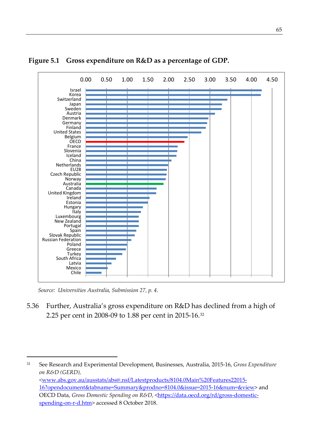

#### **Figure 5.1 Gross expenditure on R&D as a percentage of GDP.**

*Source: Universities Australia, Submission 27, p. 4.* 

5.36 Further, Australia's gross expenditure on R&D has declined from a high of 2.25 per cent in 2008-09 to 1.88 per cent in 2015-16.[32](#page-86-0)

<span id="page-86-0"></span> <sup>32</sup> See Research and Experimental Development, Businesses, Australia, 2015-16, *Gross Expenditure on R&D (GERD), <*[www.abs.gov.au/ausstats/abs@.nsf/Latestproducts/8104.0Main%20Features22015-](http://www.abs.gov.au/ausstats/abs@.nsf/Latestproducts/8104.0Main%20Features22015-16?opendocument&tabname=Summary&prodno=8104.0&issue=2015-16&num=&view) [16?opendocument&tabname=Summary&prodno=8104.0&issue=2015-16&num=&view>](http://www.abs.gov.au/ausstats/abs@.nsf/Latestproducts/8104.0Main%20Features22015-16?opendocument&tabname=Summary&prodno=8104.0&issue=2015-16&num=&view) and OECD Data, *Gross Domestic Spending on R&D*, [<https://data.oecd.org/rd/gross-domestic](https://data.oecd.org/rd/gross-domestic-spending-on-r-d.htm)[spending-on-r-d.htm>](https://data.oecd.org/rd/gross-domestic-spending-on-r-d.htm) accessed 8 October 2018.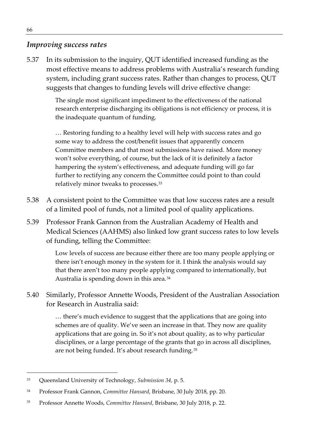#### *Improving success rates*

5.37 In its submission to the inquiry, QUT identified increased funding as the most effective means to address problems with Australia's research funding system, including grant success rates. Rather than changes to process, QUT suggests that changes to funding levels will drive effective change:

> The single most significant impediment to the effectiveness of the national research enterprise discharging its obligations is not efficiency or process, it is the inadequate quantum of funding.

… Restoring funding to a healthy level will help with success rates and go some way to address the cost/benefit issues that apparently concern Committee members and that most submissions have raised. More money won't solve everything, of course, but the lack of it is definitely a factor hampering the system's effectiveness, and adequate funding will go far further to rectifying any concern the Committee could point to than could relatively minor tweaks to processes.[33](#page-87-0)

- 5.38 A consistent point to the Committee was that low success rates are a result of a limited pool of funds, not a limited pool of quality applications.
- 5.39 Professor Frank Gannon from the Australian Academy of Health and Medical Sciences (AAHMS) also linked low grant success rates to low levels of funding, telling the Committee:

Low levels of success are because either there are too many people applying or there isn't enough money in the system for it. I think the analysis would say that there aren't too many people applying compared to internationally, but Australia is spending down in this area.<sup>[34](#page-87-1)</sup>

5.40 Similarly, Professor Annette Woods, President of the Australian Association for Research in Australia said:

> … there's much evidence to suggest that the applications that are going into schemes are of quality. We've seen an increase in that. They now are quality applications that are going in. So it's not about quality, as to why particular disciplines, or a large percentage of the grants that go in across all disciplines, are not being funded. It's about research funding. [35](#page-87-2)

<span id="page-87-0"></span> <sup>33</sup> Queensland University of Technology, *Submission 34,* p. 5.

<span id="page-87-1"></span><sup>34</sup> Professor Frank Gannon, *Committee Hansard*, Brisbane, 30 July 2018, pp. 20.

<span id="page-87-2"></span><sup>35</sup> Professor Annette Woods, *Committee Hansard*, Brisbane, 30 July 2018, p. 22.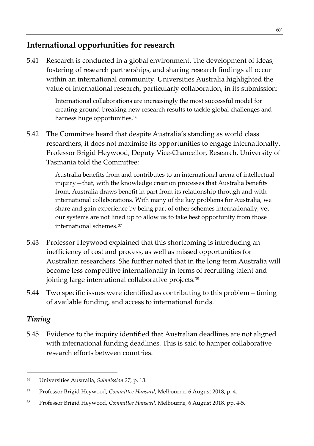# **International opportunities for research**

5.41 Research is conducted in a global environment. The development of ideas, fostering of research partnerships, and sharing research findings all occur within an international community. Universities Australia highlighted the value of international research, particularly collaboration, in its submission:

> International collaborations are increasingly the most successful model for creating ground-breaking new research results to tackle global challenges and harness huge opportunities.[36](#page-88-0)

5.42 The Committee heard that despite Australia's standing as world class researchers, it does not maximise its opportunities to engage internationally. Professor Brigid Heywood, Deputy Vice-Chancellor, Research, University of Tasmania told the Committee:

> Australia benefits from and contributes to an international arena of intellectual inquiry—that, with the knowledge creation processes that Australia benefits from, Australia draws benefit in part from its relationship through and with international collaborations. With many of the key problems for Australia, we share and gain experience by being part of other schemes internationally, yet our systems are not lined up to allow us to take best opportunity from those international schemes.[37](#page-88-1)

- 5.43 Professor Heywood explained that this shortcoming is introducing an inefficiency of cost and process, as well as missed opportunities for Australian researchers. She further noted that in the long term Australia will become less competitive internationally in terms of recruiting talent and joining large international collaborative projects.<sup>[38](#page-88-2)</sup>
- 5.44 Two specific issues were identified as contributing to this problem timing of available funding, and access to international funds.

#### *Timing*

5.45 Evidence to the inquiry identified that Australian deadlines are not aligned with international funding deadlines. This is said to hamper collaborative research efforts between countries.

<span id="page-88-0"></span> <sup>36</sup> Universities Australia, *Submission 27,* p. 13.

<span id="page-88-1"></span><sup>37</sup> Professor Brigid Heywood, *Committee Hansard,* Melbourne, 6 August 2018, p. 4.

<span id="page-88-2"></span><sup>38</sup> Professor Brigid Heywood, *Committee Hansard,* Melbourne, 6 August 2018, pp. 4-5.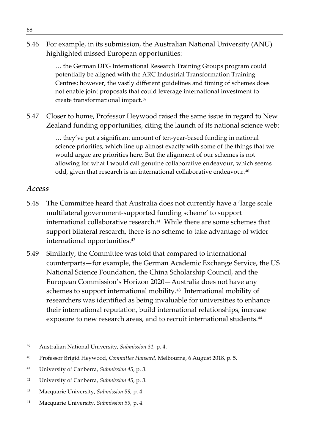5.46 For example, in its submission, the Australian National University (ANU) highlighted missed European opportunities:

> … the German DFG International Research Training Groups program could potentially be aligned with the ARC Industrial Transformation Training Centres; however, the vastly different guidelines and timing of schemes does not enable joint proposals that could leverage international investment to create transformational impact.[39](#page-89-0)

5.47 Closer to home, Professor Heywood raised the same issue in regard to New Zealand funding opportunities, citing the launch of its national science web:

> … they've put a significant amount of ten-year-based funding in national science priorities, which line up almost exactly with some of the things that we would argue are priorities here. But the alignment of our schemes is not allowing for what I would call genuine collaborative endeavour, which seems odd, given that research is an international collaborative endeavour.<sup>[40](#page-89-1)</sup>

#### *Access*

- 5.48 The Committee heard that Australia does not currently have a 'large scale multilateral government-supported funding scheme' to support international collaborative research.<sup>[41](#page-89-2)</sup> While there are some schemes that support bilateral research, there is no scheme to take advantage of wider international opportunities[.42](#page-89-3)
- 5.49 Similarly, the Committee was told that compared to international counterparts—for example, the German Academic Exchange Service, the US National Science Foundation, the China Scholarship Council, and the European Commission's Horizon 2020—Australia does not have any schemes to support international mobility.<sup>[43](#page-89-4)</sup> International mobility of researchers was identified as being invaluable for universities to enhance their international reputation, build international relationships, increase exposure to new research areas, and to recruit international students.<sup>[44](#page-89-5)</sup>

- <span id="page-89-3"></span><sup>42</sup> University of Canberra, *Submission 45,* p. 3.
- <span id="page-89-4"></span><sup>43</sup> Macquarie University, *Submission 59,* p. 4.

<span id="page-89-0"></span> <sup>39</sup> Australian National University, *Submission 31,* p. 4.

<span id="page-89-1"></span><sup>40</sup> Professor Brigid Heywood, *Committee Hansard,* Melbourne, 6 August 2018, p. 5.

<span id="page-89-2"></span><sup>41</sup> University of Canberra, *Submission 45,* p. 3.

<span id="page-89-5"></span><sup>44</sup> Macquarie University, *Submission 59,* p. 4.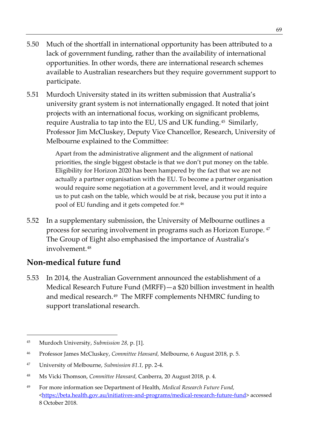- 5.50 Much of the shortfall in international opportunity has been attributed to a lack of government funding, rather than the availability of international opportunities. In other words, there are international research schemes available to Australian researchers but they require government support to participate.
- 5.51 Murdoch University stated in its written submission that Australia's university grant system is not internationally engaged. It noted that joint projects with an international focus, working on significant problems, require Australia to tap into the EU, US and UK funding.[45](#page-90-0) Similarly, Professor Jim McCluskey, Deputy Vice Chancellor, Research, University of Melbourne explained to the Committee:

Apart from the administrative alignment and the alignment of national priorities, the single biggest obstacle is that we don't put money on the table. Eligibility for Horizon 2020 has been hampered by the fact that we are not actually a partner organisation with the EU. To become a partner organisation would require some negotiation at a government level, and it would require us to put cash on the table, which would be at risk, because you put it into a pool of EU funding and it gets competed for.<sup>[46](#page-90-1)</sup>

5.52 In a supplementary submission, the University of Melbourne outlines a process for securing involvement in programs such as Horizon Europe. [47](#page-90-2) The Group of Eight also emphasised the importance of Australia's involvement.[48](#page-90-3)

# **Non-medical future fund**

5.53 In 2014, the Australian Government announced the establishment of a Medical Research Future Fund (MRFF)—a \$20 billion investment in health and medical research.<sup>49</sup> The MRFF complements NHMRC funding to support translational research.

<span id="page-90-0"></span> <sup>45</sup> Murdoch University, *Submission 28,* p. [1].

<span id="page-90-1"></span><sup>46</sup> Professor James McCluskey, *Committee Hansard,* Melbourne, 6 August 2018, p. 5.

<span id="page-90-2"></span><sup>47</sup> University of Melbourne, *Submission 81.1,* pp. 2-4.

<span id="page-90-3"></span><sup>48</sup> Ms Vicki Thomson, *Committee Hansard*, Canberra, 20 August 2018, p. 4.

<span id="page-90-4"></span><sup>49</sup> For more information see Department of Health, *Medical Research Future Fund,* [<https://beta.health.gov.au/initiatives-and-programs/medical-research-future-fund>](https://beta.health.gov.au/initiatives-and-programs/medical-research-future-fund) accessed 8 October 2018.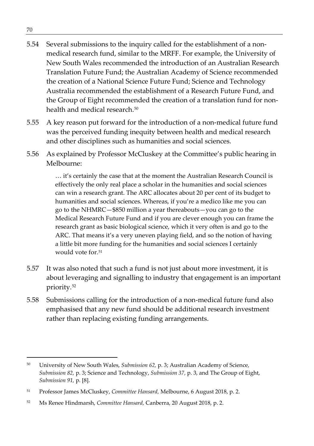- 5.54 Several submissions to the inquiry called for the establishment of a nonmedical research fund, similar to the MRFF. For example, the University of New South Wales recommended the introduction of an Australian Research Translation Future Fund; the Australian Academy of Science recommended the creation of a National Science Future Fund; Science and Technology Australia recommended the establishment of a Research Future Fund, and the Group of Eight recommended the creation of a translation fund for nonhealth and medical research.<sup>50</sup>
- 5.55 A key reason put forward for the introduction of a non-medical future fund was the perceived funding inequity between health and medical research and other disciplines such as humanities and social sciences.
- 5.56 As explained by Professor McCluskey at the Committee's public hearing in Melbourne:

… it's certainly the case that at the moment the Australian Research Council is effectively the only real place a scholar in the humanities and social sciences can win a research grant. The ARC allocates about 20 per cent of its budget to humanities and social sciences. Whereas, if you're a medico like me you can go to the NHMRC—\$850 million a year thereabouts—you can go to the Medical Research Future Fund and if you are clever enough you can frame the research grant as basic biological science, which it very often is and go to the ARC. That means it's a very uneven playing field, and so the notion of having a little bit more funding for the humanities and social sciences I certainly would vote for.<sup>[51](#page-91-1)</sup>

- 5.57 It was also noted that such a fund is not just about more investment, it is about leveraging and signalling to industry that engagement is an important priority.[52](#page-91-2)
- 5.58 Submissions calling for the introduction of a non-medical future fund also emphasised that any new fund should be additional research investment rather than replacing existing funding arrangements.

<span id="page-91-0"></span> <sup>50</sup> University of New South Wales, *Submission 62,* p. 3; Australian Academy of Science, *Submission 82,* p. 3; Science and Technology, *Submission 37,* p. 3, and The Group of Eight, *Submission 91,* p. [8].

<span id="page-91-1"></span><sup>51</sup> Professor James McCluskey, *Committee Hansard,* Melbourne, 6 August 2018, p. 2.

<span id="page-91-2"></span><sup>52</sup> Ms Renee Hindmarsh, *Committee Hansard,* Canberra, 20 August 2018, p. 2.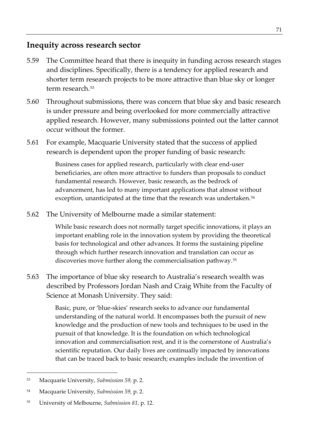#### **Inequity across research sector**

- 5.59 The Committee heard that there is inequity in funding across research stages and disciplines. Specifically, there is a tendency for applied research and shorter term research projects to be more attractive than blue sky or longer term research.<sup>[53](#page-92-0)</sup>
- 5.60 Throughout submissions, there was concern that blue sky and basic research is under pressure and being overlooked for more commercially attractive applied research. However, many submissions pointed out the latter cannot occur without the former.
- 5.61 For example, Macquarie University stated that the success of applied research is dependent upon the proper funding of basic research:

Business cases for applied research, particularly with clear end-user beneficiaries, are often more attractive to funders than proposals to conduct fundamental research. However, basic research, as the bedrock of advancement, has led to many important applications that almost without exception, unanticipated at the time that the research was undertaken.<sup>[54](#page-92-1)</sup>

5.62 The University of Melbourne made a similar statement:

While basic research does not normally target specific innovations, it plays an important enabling role in the innovation system by providing the theoretical basis for technological and other advances. It forms the sustaining pipeline through which further research innovation and translation can occur as discoveries move further along the commercialisation pathway.<sup>[55](#page-92-2)</sup>

5.63 The importance of blue sky research to Australia's research wealth was described by Professors Jordan Nash and Craig White from the Faculty of Science at Monash University. They said:

> Basic, pure, or 'blue-skies' research seeks to advance our fundamental understanding of the natural world. It encompasses both the pursuit of new knowledge and the production of new tools and techniques to be used in the pursuit of that knowledge. It is the foundation on which technological innovation and commercialisation rest, and it is the cornerstone of Australia's scientific reputation. Our daily lives are continually impacted by innovations that can be traced back to basic research; examples include the invention of

<span id="page-92-0"></span> <sup>53</sup> Macquarie University, *Submission 59,* p. 2.

<span id="page-92-1"></span><sup>54</sup> Macquarie University, *Submission 59,* p. 2.

<span id="page-92-2"></span><sup>55</sup> University of Melbourne, *Submission 81,* p. 12.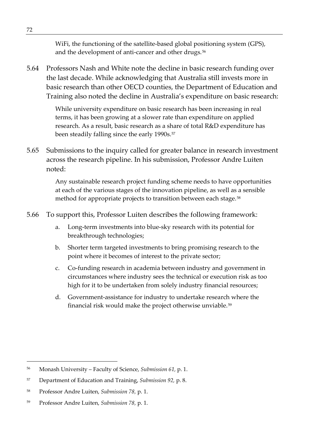WiFi, the functioning of the satellite-based global positioning system (GPS), and the development of anti-cancer and other drugs.<sup>[56](#page-93-0)</sup>

5.64 Professors Nash and White note the decline in basic research funding over the last decade. While acknowledging that Australia still invests more in basic research than other OECD counties, the Department of Education and Training also noted the decline in Australia's expenditure on basic research:

> While university expenditure on basic research has been increasing in real terms, it has been growing at a slower rate than expenditure on applied research. As a result, basic research as a share of total R&D expenditure has been steadily falling since the early 1990s.<sup>[57](#page-93-1)</sup>

5.65 Submissions to the inquiry called for greater balance in research investment across the research pipeline. In his submission, Professor Andre Luiten noted:

> Any sustainable research project funding scheme needs to have opportunities at each of the various stages of the innovation pipeline, as well as a sensible method for appropriate projects to transition between each stage.<sup>[58](#page-93-2)</sup>

5.66 To support this, Professor Luiten describes the following framework:

- a. Long-term investments into blue-sky research with its potential for breakthrough technologies;
- b. Shorter term targeted investments to bring promising research to the point where it becomes of interest to the private sector;
- c. Co-funding research in academia between industry and government in circumstances where industry sees the technical or execution risk as too high for it to be undertaken from solely industry financial resources;
- d. Government-assistance for industry to undertake research where the financial risk would make the project otherwise unviable.[59](#page-93-3)

<span id="page-93-0"></span> <sup>56</sup> Monash University – Faculty of Science, *Submission 61,* p. 1.

<span id="page-93-1"></span><sup>57</sup> Department of Education and Training, *Submission 92,* p. 8.

<span id="page-93-2"></span><sup>58</sup> Professor Andre Luiten, *Submission 78,* p. 1.

<span id="page-93-3"></span><sup>59</sup> Professor Andre Luiten, *Submission 78,* p. 1.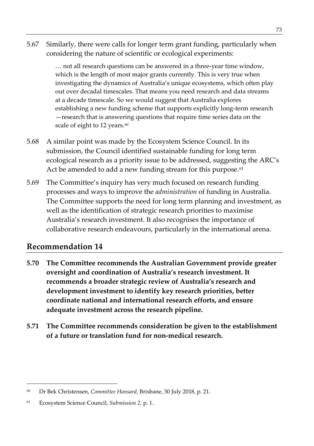5.67 Similarly, there were calls for longer term grant funding, particularly when considering the nature of scientific or ecological experiments:

> … not all research questions can be answered in a three-year time window, which is the length of most major grants currently. This is very true when investigating the dynamics of Australia's unique ecosystems, which often play out over decadal timescales. That means you need research and data streams at a decade timescale. So we would suggest that Australia explores establishing a new funding scheme that supports explicitly long-term research —research that is answering questions that require time series data on the scale of eight to 12 years.<sup>[60](#page-94-0)</sup>

- 5.68 A similar point was made by the Ecosystem Science Council. In its submission, the Council identified sustainable funding for long term ecological research as a priority issue to be addressed, suggesting the ARC's Act be amended to add a new funding stream for this purpose.<sup>[61](#page-94-1)</sup>
- 5.69 The Committee's inquiry has very much focused on research funding processes and ways to improve the *administration* of funding in Australia. The Committee supports the need for long term planning and investment, as well as the identification of strategic research priorities to maximise Australia's research investment. It also recognises the importance of collaborative research endeavours, particularly in the international arena.

### **Recommendation 14**

- **5.70 The Committee recommends the Australian Government provide greater oversight and coordination of Australia's research investment. It recommends a broader strategic review of Australia's research and development investment to identify key research priorities, better coordinate national and international research efforts, and ensure adequate investment across the research pipeline.**
- **5.71 The Committee recommends consideration be given to the establishment of a future or translation fund for non-medical research.**

<span id="page-94-0"></span> <sup>60</sup> Dr Bek Christensen, *Committee Hansard,* Brisbane, 30 July 2018, p. 21.

<span id="page-94-1"></span><sup>61</sup> Ecosystem Science Council, *Submission 2,* p. 1.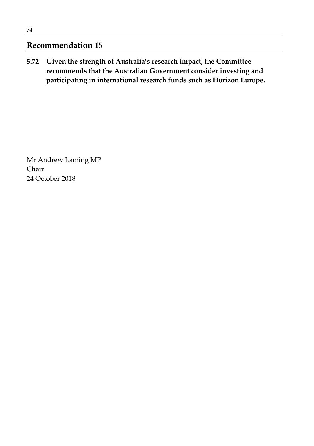## **Recommendation 15**

**5.72 Given the strength of Australia's research impact, the Committee recommends that the Australian Government consider investing and participating in international research funds such as Horizon Europe.**

Mr Andrew Laming MP Chair 24 October 2018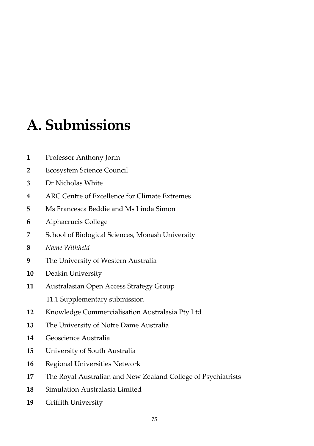# **A. Submissions**

- Professor Anthony Jorm
- Ecosystem Science Council
- Dr Nicholas White
- ARC Centre of Excellence for Climate Extremes
- Ms Francesca Beddie and Ms Linda Simon
- Alphacrucis College
- School of Biological Sciences, Monash University
- *Name Withheld*
- The University of Western Australia
- Deakin University
- Australasian Open Access Strategy Group 11.1 Supplementary submission
- Knowledge Commercialisation Australasia Pty Ltd
- The University of Notre Dame Australia
- Geoscience Australia
- University of South Australia
- Regional Universities Network
- The Royal Australian and New Zealand College of Psychiatrists
- Simulation Australasia Limited
- Griffith University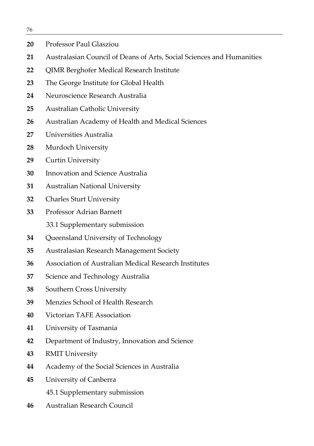| 20 | Professor Paul Glasziou |  |
|----|-------------------------|--|
|    |                         |  |

- Australasian Council of Deans of Arts, Social Sciences and Humanities
- QIMR Berghofer Medical Research Institute
- The George Institute for Global Health
- Neuroscience Research Australia
- Australian Catholic University
- Australian Academy of Health and Medical Sciences
- Universities Australia
- Murdoch University
- Curtin University
- Innovation and Science Australia
- Australian National University
- Charles Sturt University
- Professor Adrian Barnett 33.1 Supplementary submission
- Queensland University of Technology
- Australasian Research Management Society
- Association of Australian Medical Research Institutes
- Science and Technology Australia
- Southern Cross University
- Menzies School of Health Research
- Victorian TAFE Association
- University of Tasmania
- Department of Industry, Innovation and Science
- RMIT University
- Academy of the Social Sciences in Australia
- University of Canberra
	- 45.1 Supplementary submission
- Australian Research Council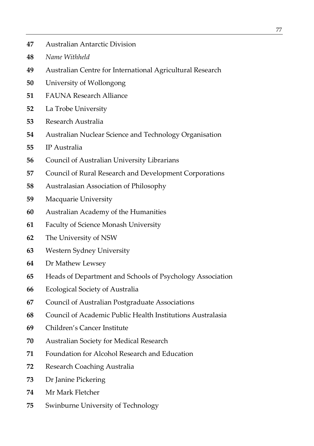- Australian Antarctic Division
- *Name Withheld*
- Australian Centre for International Agricultural Research
- University of Wollongong
- FAUNA Research Alliance
- La Trobe University
- Research Australia
- Australian Nuclear Science and Technology Organisation
- IP Australia
- Council of Australian University Librarians
- Council of Rural Research and Development Corporations
- Australasian Association of Philosophy
- Macquarie University
- Australian Academy of the Humanities
- Faculty of Science Monash University
- The University of NSW
- Western Sydney University
- Dr Mathew Lewsey
- Heads of Department and Schools of Psychology Association
- Ecological Society of Australia
- Council of Australian Postgraduate Associations
- Council of Academic Public Health Institutions Australasia
- Children's Cancer Institute
- Australian Society for Medical Research
- Foundation for Alcohol Research and Education
- Research Coaching Australia
- Dr Janine Pickering
- Mr Mark Fletcher
- Swinburne University of Technology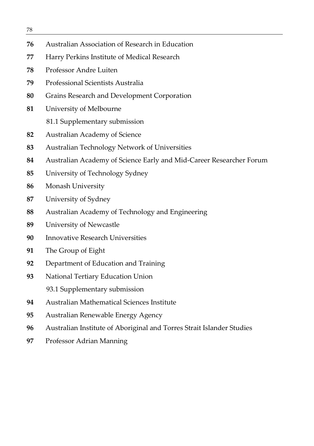- Australian Association of Research in Education
- Harry Perkins Institute of Medical Research
- Professor Andre Luiten
- Professional Scientists Australia
- Grains Research and Development Corporation
- University of Melbourne

81.1 Supplementary submission

- Australian Academy of Science
- Australian Technology Network of Universities
- Australian Academy of Science Early and Mid-Career Researcher Forum
- University of Technology Sydney
- Monash University
- University of Sydney
- Australian Academy of Technology and Engineering
- University of Newcastle
- Innovative Research Universities
- The Group of Eight
- Department of Education and Training
- National Tertiary Education Union
	- 93.1 Supplementary submission
- Australian Mathematical Sciences Institute
- Australian Renewable Energy Agency
- Australian Institute of Aboriginal and Torres Strait Islander Studies
- Professor Adrian Manning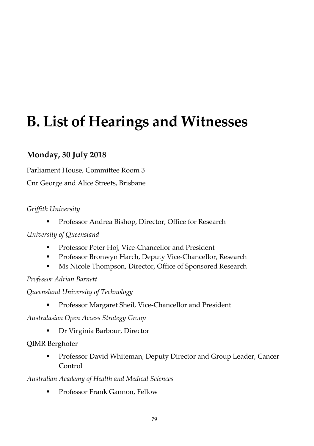# **B. List of Hearings and Witnesses**

# **Monday, 30 July 2018**

Parliament House, Committee Room 3

Cnr George and Alice Streets, Brisbane

#### *Griffith University*

Professor Andrea Bishop, Director, Office for Research

*University of Queensland*

- **Professor Peter Hoj, Vice-Chancellor and President**
- **Professor Bronwyn Harch, Deputy Vice-Chancellor, Research**
- **Ms Nicole Thompson, Director, Office of Sponsored Research**

*Professor Adrian Barnett*

*Queensland University of Technology*

Professor Margaret Sheil, Vice-Chancellor and President

*Australasian Open Access Strategy Group*

Dr Virginia Barbour, Director

#### QIMR Berghofer

**Professor David Whiteman, Deputy Director and Group Leader, Cancer** Control

*Australian Academy of Health and Medical Sciences*

**Professor Frank Gannon, Fellow**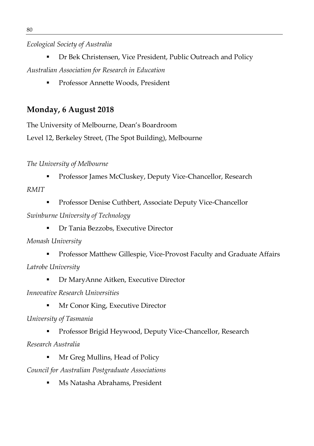*Ecological Society of Australia* 

- Dr Bek Christensen, Vice President, Public Outreach and Policy *Australian Association for Research in Education*
	- Professor Annette Woods, President

## **Monday, 6 August 2018**

The University of Melbourne, Dean's Boardroom

Level 12, Berkeley Street, (The Spot Building), Melbourne

#### *The University of Melbourne*

Professor James McCluskey, Deputy Vice-Chancellor, Research

*RMIT*

- Professor Denise Cuthbert, Associate Deputy Vice-Chancellor
- *Swinburne University of Technology*
	- Dr Tania Bezzobs, Executive Director

*Monash University*

- **Professor Matthew Gillespie, Vice-Provost Faculty and Graduate Affairs** *Latrobe University*
	- **Dr MaryAnne Aitken, Executive Director**
- *Innovative Research Universities*
	- Mr Conor King, Executive Director

*University of Tasmania*

**Professor Brigid Heywood, Deputy Vice-Chancellor, Research** 

*Research Australia*

Mr Greg Mullins, Head of Policy

*Council for Australian Postgraduate Associations*

Ms Natasha Abrahams, President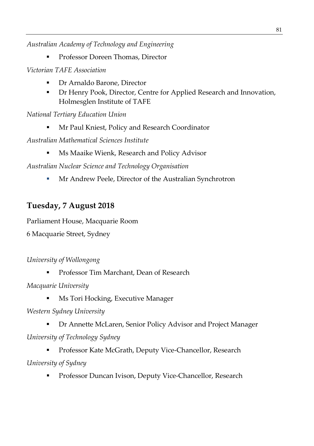*Australian Academy of Technology and Engineering*

**Professor Doreen Thomas, Director** 

*Victorian TAFE Association*

- Dr Arnaldo Barone, Director
- **•** Dr Henry Pook, Director, Centre for Applied Research and Innovation, Holmesglen Institute of TAFE

*National Tertiary Education Union*

Mr Paul Kniest, Policy and Research Coordinator

*Australian Mathematical Sciences Institute*

**Ms Maaike Wienk, Research and Policy Advisor** 

*Australian Nuclear Science and Technology Organisation*

**Mr Andrew Peele, Director of the Australian Synchrotron** 

# **Tuesday, 7 August 2018**

Parliament House, Macquarie Room

6 Macquarie Street, Sydney

*University of Wollongong*

Professor Tim Marchant, Dean of Research

#### *Macquarie University*

- Ms Tori Hocking, Executive Manager
- *Western Sydney University*

 Dr Annette McLaren, Senior Policy Advisor and Project Manager *University of Technology Sydney*

**Professor Kate McGrath, Deputy Vice-Chancellor, Research** *University of Sydney*

**Professor Duncan Ivison, Deputy Vice-Chancellor, Research**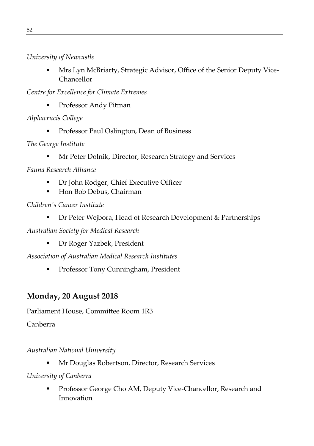*University of Newcastle*

 Mrs Lyn McBriarty, Strategic Advisor, Office of the Senior Deputy Vice-Chancellor

*Centre for Excellence for Climate Extremes*

**Professor Andy Pitman** 

*Alphacrucis College*

**Professor Paul Oslington, Dean of Business** 

*The George Institute*

**Mr Peter Dolnik, Director, Research Strategy and Services** 

*Fauna Research Alliance*

- Dr John Rodger, Chief Executive Officer
- Hon Bob Debus, Chairman

*Children's Cancer Institute*

**Dr Peter Wejbora, Head of Research Development & Partnerships** 

*Australian Society for Medical Research*

■ Dr Roger Yazbek, President

*Association of Australian Medical Research Institutes*

**Professor Tony Cunningham, President** 

# **Monday, 20 August 2018**

Parliament House, Committee Room 1R3

Canberra

*Australian National University* 

Mr Douglas Robertson, Director, Research Services

#### *University of Canberra*

 Professor George Cho AM, Deputy Vice-Chancellor, Research and Innovation